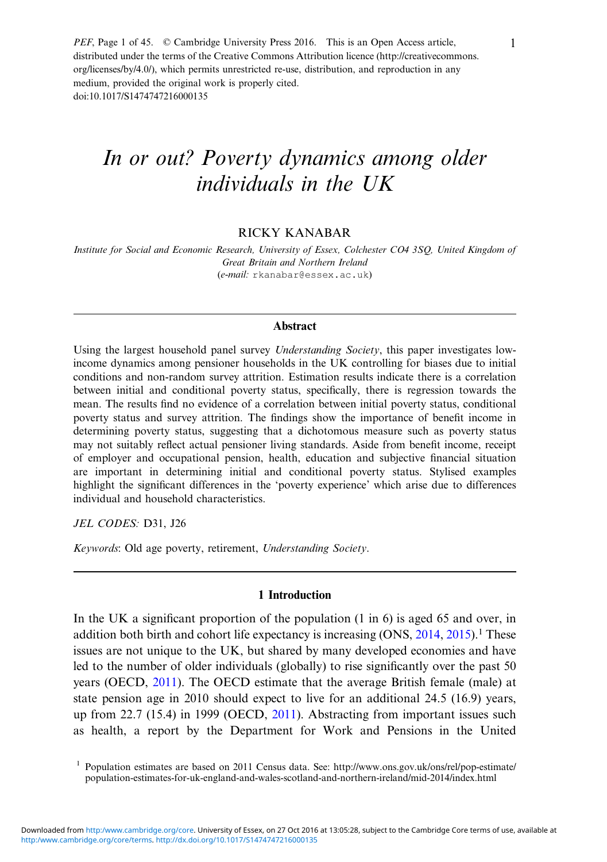PEF, Page 1 of 45. © Cambridge University Press 2016. This is an Open Access article, distributed under the terms of the Creative Commons Attribution licence (http://creativecommons. org/licenses/by/4.0/), which permits unrestricted re-use, distribution, and reproduction in any medium, provided the original work is properly cited. doi:10.1017/S1474747216000135

# In or out? Poverty dynamics among older individuals in the UK

# RICKY KANABAR

Institute for Social and Economic Research, University of Essex, Colchester CO4 3SQ, United Kingdom of Great Britain and Northern Ireland (e-mail: rkanabar@essex.ac.uk)

# Abstract

Using the largest household panel survey *Understanding Society*, this paper investigates lowincome dynamics among pensioner households in the UK controlling for biases due to initial conditions and non-random survey attrition. Estimation results indicate there is a correlation between initial and conditional poverty status, specifically, there is regression towards the mean. The results find no evidence of a correlation between initial poverty status, conditional poverty status and survey attrition. The findings show the importance of benefit income in determining poverty status, suggesting that a dichotomous measure such as poverty status may not suitably reflect actual pensioner living standards. Aside from benefit income, receipt of employer and occupational pension, health, education and subjective financial situation are important in determining initial and conditional poverty status. Stylised examples highlight the significant differences in the 'poverty experience' which arise due to differences individual and household characteristics.

JEL CODES: D31, J26

Keywords: Old age poverty, retirement, Understanding Society.

#### 1 Introduction

In the UK a significant proportion of the population (1 in 6) is aged 65 and over, in addition both birth and cohort life expectancy is increasing  $(ONS, 2014, 2015)$  $(ONS, 2014, 2015)$  $(ONS, 2014, 2015)$  $(ONS, 2014, 2015)$ .<sup>1</sup> These issues are not unique to the UK, but shared by many developed economies and have led to the number of older individuals (globally) to rise significantly over the past 50 years (OECD, [2011](#page-42-0)). The OECD estimate that the average British female (male) at state pension age in 2010 should expect to live for an additional 24.5 (16.9) years, up from 22.7 (15.4) in 1999 (OECD, [2011](#page-42-0)). Abstracting from important issues such as health, a report by the Department for Work and Pensions in the United

<sup>1</sup> Population estimates are based on 2011 Census data. See: [http://www.ons.gov.uk/ons/rel/pop-estimate/](http://www.ons.gov.uk/ons/rel/pop-estimate/population-estimates-for-uk-england-and-wales-scotland-and-northern-ireland/mid-2014/index.html) [population-estimates-for-uk-england-and-wales-scotland-and-northern-ireland/mid-2014/index.html](http://www.ons.gov.uk/ons/rel/pop-estimate/population-estimates-for-uk-england-and-wales-scotland-and-northern-ireland/mid-2014/index.html)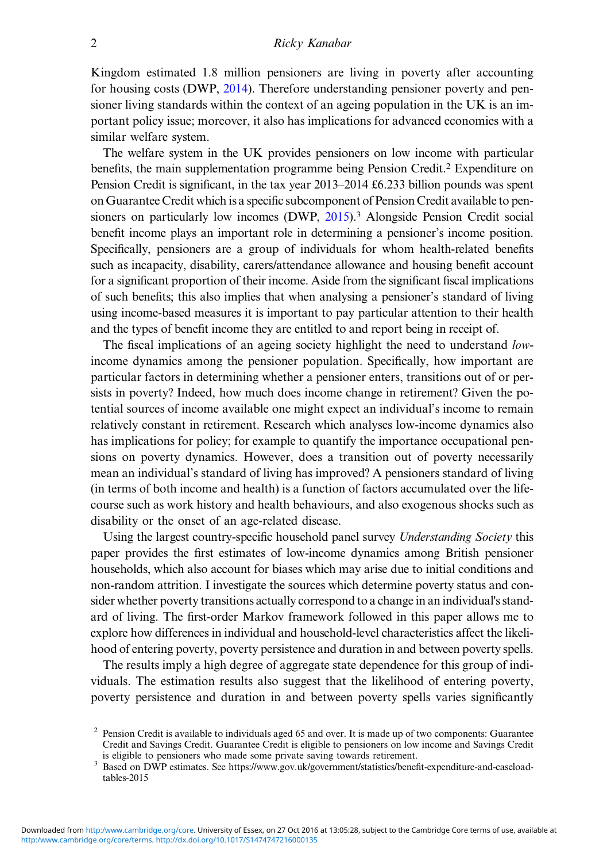# 2 Ricky Kanabar

Kingdom estimated 1.8 million pensioners are living in poverty after accounting for housing costs (DWP, [2014](#page-41-0)). Therefore understanding pensioner poverty and pensioner living standards within the context of an ageing population in the UK is an important policy issue; moreover, it also has implications for advanced economies with a similar welfare system.

The welfare system in the UK provides pensioners on low income with particular benefits, the main supplementation programme being Pension Credit.2 Expenditure on Pension Credit is significant, in the tax year 2013–2014 £6.233 billion pounds was spent on Guarantee Credit which is a specific subcomponent of Pension Credit available to pen-sioners on particularly low incomes (DWP, [2015\)](#page-41-0).<sup>3</sup> Alongside Pension Credit social benefit income plays an important role in determining a pensioner's income position. Specifically, pensioners are a group of individuals for whom health-related benefits such as incapacity, disability, carers/attendance allowance and housing benefit account for a significant proportion of their income. Aside from the significant fiscal implications of such benefits; this also implies that when analysing a pensioner's standard of living using income-based measures it is important to pay particular attention to their health and the types of benefit income they are entitled to and report being in receipt of.

The fiscal implications of an ageing society highlight the need to understand *low*income dynamics among the pensioner population. Specifically, how important are particular factors in determining whether a pensioner enters, transitions out of or persists in poverty? Indeed, how much does income change in retirement? Given the potential sources of income available one might expect an individual's income to remain relatively constant in retirement. Research which analyses low-income dynamics also has implications for policy; for example to quantify the importance occupational pensions on poverty dynamics. However, does a transition out of poverty necessarily mean an individual's standard of living has improved? A pensioners standard of living (in terms of both income and health) is a function of factors accumulated over the lifecourse such as work history and health behaviours, and also exogenous shocks such as disability or the onset of an age-related disease.

Using the largest country-specific household panel survey Understanding Society this paper provides the first estimates of low-income dynamics among British pensioner households, which also account for biases which may arise due to initial conditions and non-random attrition. I investigate the sources which determine poverty status and consider whether poverty transitions actually correspond to a change in an individual's standard of living. The first-order Markov framework followed in this paper allows me to explore how differences in individual and household-level characteristics affect the likelihood of entering poverty, poverty persistence and duration in and between poverty spells.

The results imply a high degree of aggregate state dependence for this group of individuals. The estimation results also suggest that the likelihood of entering poverty, poverty persistence and duration in and between poverty spells varies significantly

<sup>&</sup>lt;sup>2</sup> Pension Credit is available to individuals aged 65 and over. It is made up of two components: Guarantee Credit and Savings Credit. Guarantee Credit is eligible to pensioners on low income and Savings Credit is eligible to pensioners who made some private saving towards retirement.<br>Based on DWP estimates. See [https://www.gov.uk/government/statistics/bene](https://www.gov.uk/government/statistics/benefit-expenditure-and-caseload-tables-2015)fit-expenditure-and-caseload-

[tables-2015](https://www.gov.uk/government/statistics/benefit-expenditure-and-caseload-tables-2015)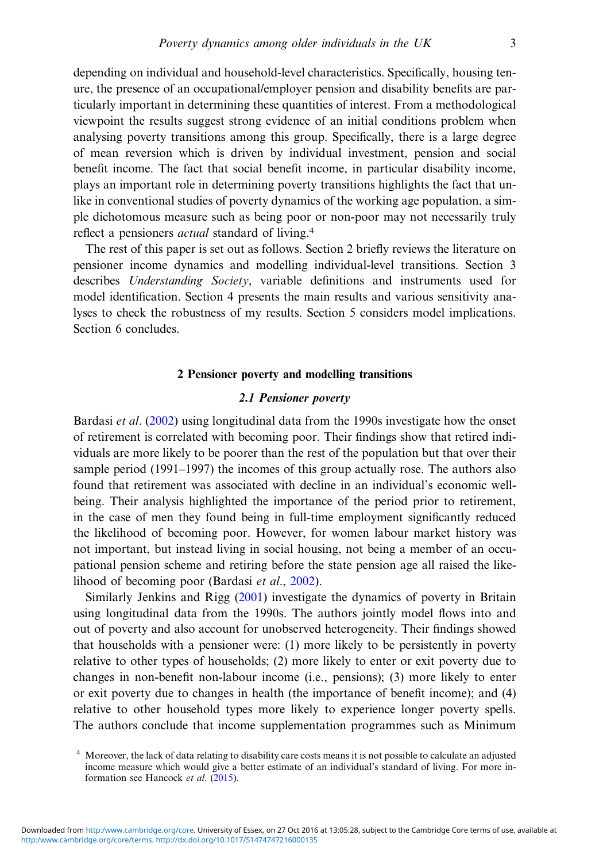depending on individual and household-level characteristics. Specifically, housing tenure, the presence of an occupational/employer pension and disability benefits are particularly important in determining these quantities of interest. From a methodological viewpoint the results suggest strong evidence of an initial conditions problem when analysing poverty transitions among this group. Specifically, there is a large degree of mean reversion which is driven by individual investment, pension and social benefit income. The fact that social benefit income, in particular disability income, plays an important role in determining poverty transitions highlights the fact that unlike in conventional studies of poverty dynamics of the working age population, a simple dichotomous measure such as being poor or non-poor may not necessarily truly reflect a pensioners actual standard of living.<sup>4</sup>

The rest of this paper is set out as follows. Section 2 briefly reviews the literature on pensioner income dynamics and modelling individual-level transitions. Section 3 describes *Understanding Society*, variable definitions and instruments used for model identification. Section 4 presents the main results and various sensitivity analyses to check the robustness of my results. Section 5 considers model implications. Section 6 concludes.

# 2 Pensioner poverty and modelling transitions

# 2.1 Pensioner poverty

Bardasi et al. [\(2002\)](#page-40-0) using longitudinal data from the 1990s investigate how the onset of retirement is correlated with becoming poor. Their findings show that retired individuals are more likely to be poorer than the rest of the population but that over their sample period (1991–1997) the incomes of this group actually rose. The authors also found that retirement was associated with decline in an individual's economic wellbeing. Their analysis highlighted the importance of the period prior to retirement, in the case of men they found being in full-time employment significantly reduced the likelihood of becoming poor. However, for women labour market history was not important, but instead living in social housing, not being a member of an occupational pension scheme and retiring before the state pension age all raised the likelihood of becoming poor (Bardasi et al., [2002\)](#page-40-0).

Similarly Jenkins and Rigg ([2001\)](#page-41-0) investigate the dynamics of poverty in Britain using longitudinal data from the 1990s. The authors jointly model flows into and out of poverty and also account for unobserved heterogeneity. Their findings showed that households with a pensioner were: (1) more likely to be persistently in poverty relative to other types of households; (2) more likely to enter or exit poverty due to changes in non-benefit non-labour income (i.e., pensions); (3) more likely to enter or exit poverty due to changes in health (the importance of benefit income); and (4) relative to other household types more likely to experience longer poverty spells. The authors conclude that income supplementation programmes such as Minimum

<sup>&</sup>lt;sup>4</sup> Moreover, the lack of data relating to disability care costs means it is not possible to calculate an adjusted income measure which would give a better estimate of an individual's standard of living. For more information see Hancock et al. ([2015\)](#page-41-0).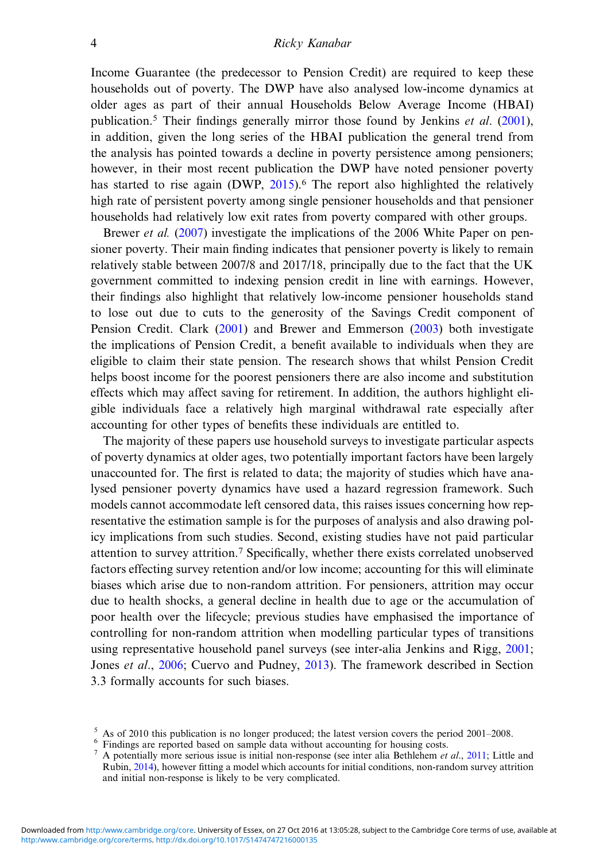# 4 Ricky Kanabar

Income Guarantee (the predecessor to Pension Credit) are required to keep these households out of poverty. The DWP have also analysed low-income dynamics at older ages as part of their annual Households Below Average Income (HBAI) publication.<sup>5</sup> Their findings generally mirror those found by Jenkins *et al.* ([2001\)](#page-41-0), in addition, given the long series of the HBAI publication the general trend from the analysis has pointed towards a decline in poverty persistence among pensioners; however, in their most recent publication the DWP have noted pensioner poverty has started to rise again  $(DWP, 2015)$  $(DWP, 2015)$  $(DWP, 2015)$ .<sup>6</sup> The report also highlighted the relatively high rate of persistent poverty among single pensioner households and that pensioner households had relatively low exit rates from poverty compared with other groups.

Brewer et al. [\(2007](#page-40-0)) investigate the implications of the 2006 White Paper on pensioner poverty. Their main finding indicates that pensioner poverty is likely to remain relatively stable between 2007/8 and 2017/18, principally due to the fact that the UK government committed to indexing pension credit in line with earnings. However, their findings also highlight that relatively low-income pensioner households stand to lose out due to cuts to the generosity of the Savings Credit component of Pension Credit. Clark [\(2001](#page-41-0)) and Brewer and Emmerson ([2003\)](#page-40-0) both investigate the implications of Pension Credit, a benefit available to individuals when they are eligible to claim their state pension. The research shows that whilst Pension Credit helps boost income for the poorest pensioners there are also income and substitution effects which may affect saving for retirement. In addition, the authors highlight eligible individuals face a relatively high marginal withdrawal rate especially after accounting for other types of benefits these individuals are entitled to.

The majority of these papers use household surveys to investigate particular aspects of poverty dynamics at older ages, two potentially important factors have been largely unaccounted for. The first is related to data; the majority of studies which have analysed pensioner poverty dynamics have used a hazard regression framework. Such models cannot accommodate left censored data, this raises issues concerning how representative the estimation sample is for the purposes of analysis and also drawing policy implications from such studies. Second, existing studies have not paid particular attention to survey attrition.<sup>7</sup> Specifically, whether there exists correlated unobserved factors effecting survey retention and/or low income; accounting for this will eliminate biases which arise due to non-random attrition. For pensioners, attrition may occur due to health shocks, a general decline in health due to age or the accumulation of poor health over the lifecycle; previous studies have emphasised the importance of controlling for non-random attrition when modelling particular types of transitions using representative household panel surveys (see inter-alia Jenkins and Rigg, [2001;](#page-41-0) Jones et al., [2006](#page-42-0); Cuervo and Pudney, [2013\)](#page-41-0). The framework described in Section 3.3 formally accounts for such biases.

<sup>&</sup>lt;sup>5</sup> As of 2010 this publication is no longer produced; the latest version covers the period 2001–2008.<br><sup>6</sup> Findings are reported based on sample data without accounting for housing costs.<br><sup>7</sup> A potentially more serious is

Rubin, [2014\)](#page-42-0), however fitting a model which accounts for initial conditions, non-random survey attrition and initial non-response is likely to be very complicated.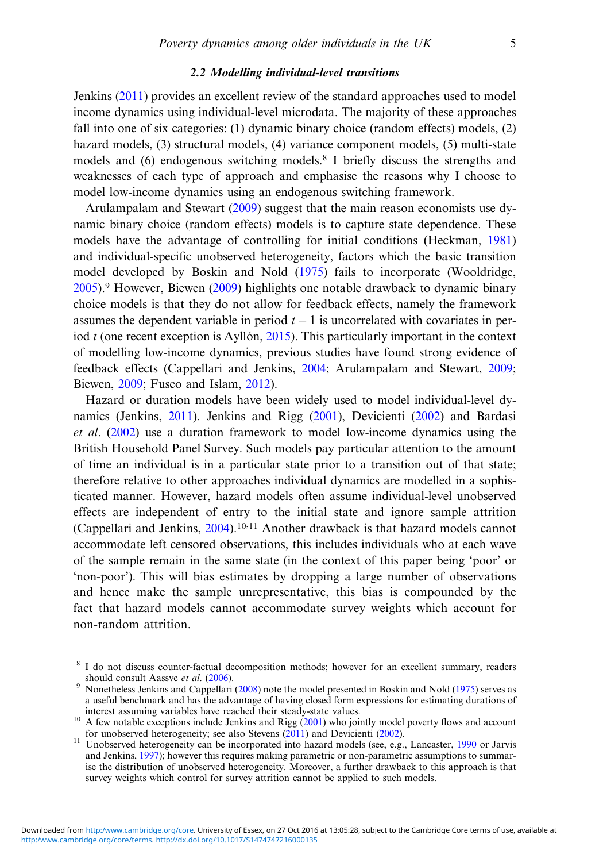# 2.2 Modelling individual-level transitions

Jenkins ([2011\)](#page-41-0) provides an excellent review of the standard approaches used to model income dynamics using individual-level microdata. The majority of these approaches fall into one of six categories: (1) dynamic binary choice (random effects) models, (2) hazard models, (3) structural models, (4) variance component models, (5) multi-state models and (6) endogenous switching models.<sup>8</sup> I briefly discuss the strengths and weaknesses of each type of approach and emphasise the reasons why I choose to model low-income dynamics using an endogenous switching framework.

Arulampalam and Stewart [\(2009](#page-40-0)) suggest that the main reason economists use dynamic binary choice (random effects) models is to capture state dependence. These models have the advantage of controlling for initial conditions (Heckman, [1981](#page-41-0)) and individual-specific unobserved heterogeneity, factors which the basic transition model developed by Boskin and Nold ([1975\)](#page-40-0) fails to incorporate (Wooldridge, [2005\)](#page-43-0).<sup>9</sup> However, Biewen [\(2009](#page-40-0)) highlights one notable drawback to dynamic binary choice models is that they do not allow for feedback effects, namely the framework assumes the dependent variable in period  $t - 1$  is uncorrelated with covariates in period  $t$  (one recent exception is Ayllón, [2015](#page-40-0)). This particularly important in the context of modelling low-income dynamics, previous studies have found strong evidence of feedback effects (Cappellari and Jenkins, [2004](#page-41-0); Arulampalam and Stewart, [2009;](#page-40-0) Biewen, [2009](#page-40-0); Fusco and Islam, [2012\)](#page-41-0).

Hazard or duration models have been widely used to model individual-level dynamics (Jenkins, [2011\)](#page-41-0). Jenkins and Rigg ([2001\)](#page-41-0), Devicienti ([2002\)](#page-41-0) and Bardasi et al. [\(2002](#page-40-0)) use a duration framework to model low-income dynamics using the British Household Panel Survey. Such models pay particular attention to the amount of time an individual is in a particular state prior to a transition out of that state; therefore relative to other approaches individual dynamics are modelled in a sophisticated manner. However, hazard models often assume individual-level unobserved effects are independent of entry to the initial state and ignore sample attrition (Cappellari and Jenkins, [2004\)](#page-41-0).10,11 Another drawback is that hazard models cannot accommodate left censored observations, this includes individuals who at each wave of the sample remain in the same state (in the context of this paper being 'poor' or 'non-poor'). This will bias estimates by dropping a large number of observations and hence make the sample unrepresentative, this bias is compounded by the fact that hazard models cannot accommodate survey weights which account for non-random attrition.

 $8$  I do not discuss counter-factual decomposition methods; however for an excellent summary, readers should consult Aassve *et al.* (2006).

<sup>&</sup>lt;sup>9</sup> Nonetheless Jenkins and Cappellari ([2008](#page-41-0)) note the model presented in Boskin and Nold [\(1975](#page-40-0)) serves as a useful benchmark and has the advantage of having closed form expressions for estimating durations of

<sup>&</sup>lt;sup>10</sup> A few notable exceptions include Jenkins and Rigg ([2001](#page-41-0)) who jointly model poverty flows and account for unobserved heterogeneity; see also Stevens (2011) and Devicienti (2002).

 $11$  Unobserved heterogeneity can be incorporated into hazard models (see, e.g., Lancaster, [1990](#page-42-0) or Jarvis and Jenkins, [1997](#page-41-0)); however this requires making parametric or non-parametric assumptions to summarise the distribution of unobserved heterogeneity. Moreover, a further drawback to this approach is that survey weights which control for survey attrition cannot be applied to such models.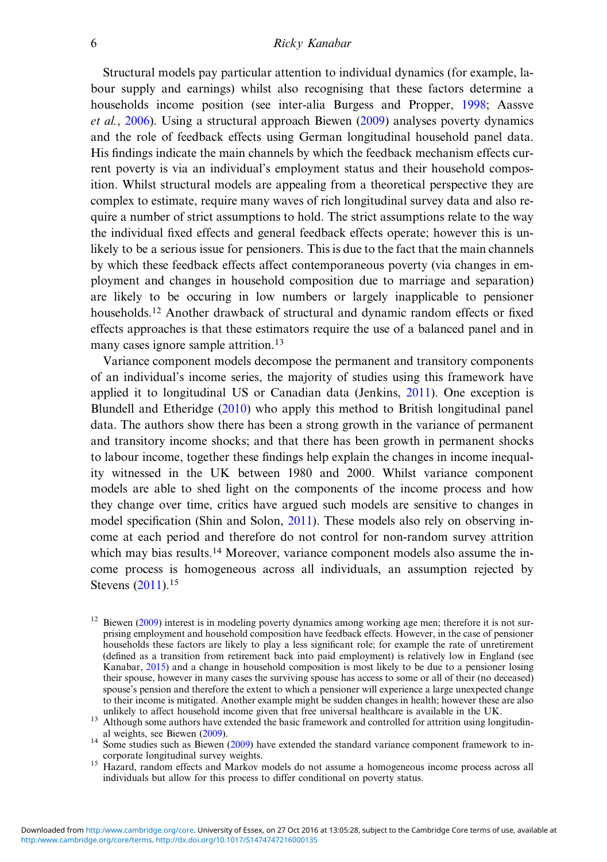Structural models pay particular attention to individual dynamics (for example, labour supply and earnings) whilst also recognising that these factors determine a households income position (see inter-alia Burgess and Propper, [1998](#page-40-0); Aassve et al., [2006\)](#page-40-0). Using a structural approach Biewen ([2009\)](#page-40-0) analyses poverty dynamics and the role of feedback effects using German longitudinal household panel data. His findings indicate the main channels by which the feedback mechanism effects current poverty is via an individual's employment status and their household composition. Whilst structural models are appealing from a theoretical perspective they are complex to estimate, require many waves of rich longitudinal survey data and also require a number of strict assumptions to hold. The strict assumptions relate to the way the individual fixed effects and general feedback effects operate; however this is unlikely to be a serious issue for pensioners. This is due to the fact that the main channels by which these feedback effects affect contemporaneous poverty (via changes in employment and changes in household composition due to marriage and separation) are likely to be occuring in low numbers or largely inapplicable to pensioner households.<sup>12</sup> Another drawback of structural and dynamic random effects or fixed effects approaches is that these estimators require the use of a balanced panel and in many cases ignore sample attrition.<sup>13</sup>

Variance component models decompose the permanent and transitory components of an individual's income series, the majority of studies using this framework have applied it to longitudinal US or Canadian data (Jenkins, [2011](#page-41-0)). One exception is Blundell and Etheridge ([2010\)](#page-40-0) who apply this method to British longitudinal panel data. The authors show there has been a strong growth in the variance of permanent and transitory income shocks; and that there has been growth in permanent shocks to labour income, together these findings help explain the changes in income inequality witnessed in the UK between 1980 and 2000. Whilst variance component models are able to shed light on the components of the income process and how they change over time, critics have argued such models are sensitive to changes in model specification (Shin and Solon, [2011](#page-42-0)). These models also rely on observing income at each period and therefore do not control for non-random survey attrition which may bias results.<sup>14</sup> Moreover, variance component models also assume the income process is homogeneous across all individuals, an assumption rejected by Stevens ([2011\)](#page-42-0).<sup>15</sup>

<sup>&</sup>lt;sup>12</sup> Biewen ([2009\)](#page-40-0) interest is in modeling poverty dynamics among working age men; therefore it is not surprising employment and household composition have feedback effects. However, in the case of pensioner households these factors are likely to play a less significant role; for example the rate of unretirement (defined as a transition from retirement back into paid employment) is relatively low in England (see Kanabar, [2015\)](#page-42-0) and a change in household composition is most likely to be due to a pensioner losing their spouse, however in many cases the surviving spouse has access to some or all of their (no deceased) spouse's pension and therefore the extent to which a pensioner will experience a large unexpected change to their income is mitigated. Another example might be sudden changes in health; however these are also unlikely to affect household income given that free universal healthcare is available in the UK.

<sup>&</sup>lt;sup>13</sup> Although some authors have extended the basic framework and controlled for attrition using longitudin-<br>al weights, see Biewen (2009).

<sup>&</sup>lt;sup>14</sup> Some studies such as Biewen ([2009\)](#page-40-0) have extended the standard variance component framework to in-<br>corporate longitudinal survey weights.

<sup>&</sup>lt;sup>15</sup> Hazard, random effects and Markov models do not assume a homogeneous income process across all individuals but allow for this process to differ conditional on poverty status.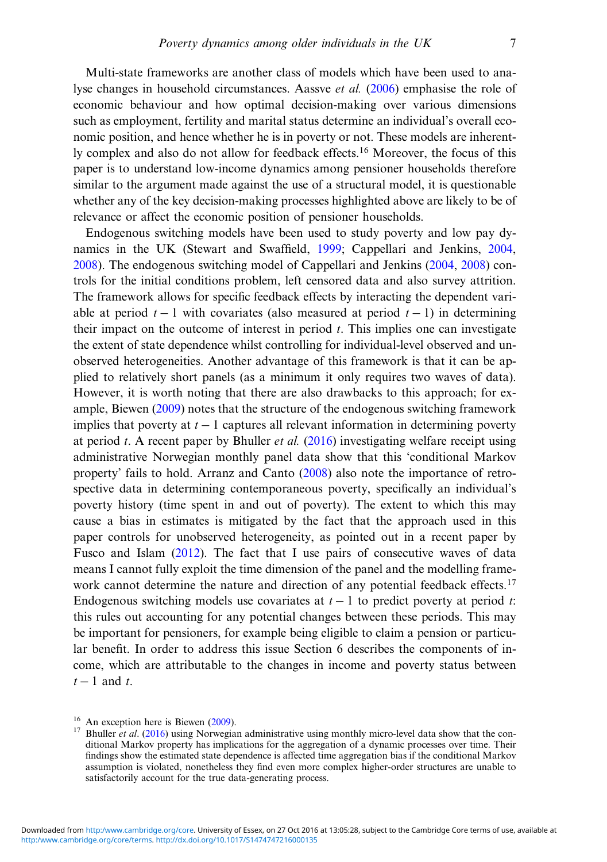Multi-state frameworks are another class of models which have been used to analyse changes in household circumstances. Aassve et al. ([2006\)](#page-40-0) emphasise the role of economic behaviour and how optimal decision-making over various dimensions such as employment, fertility and marital status determine an individual's overall economic position, and hence whether he is in poverty or not. These models are inherently complex and also do not allow for feedback effects.<sup>16</sup> Moreover, the focus of this paper is to understand low-income dynamics among pensioner households therefore similar to the argument made against the use of a structural model, it is questionable whether any of the key decision-making processes highlighted above are likely to be of relevance or affect the economic position of pensioner households.

Endogenous switching models have been used to study poverty and low pay dynamics in the UK (Stewart and Swaffield, [1999;](#page-42-0) Cappellari and Jenkins, [2004,](#page-41-0) [2008\)](#page-41-0). The endogenous switching model of Cappellari and Jenkins [\(2004](#page-41-0), [2008\)](#page-41-0) controls for the initial conditions problem, left censored data and also survey attrition. The framework allows for specific feedback effects by interacting the dependent variable at period  $t - 1$  with covariates (also measured at period  $t - 1$ ) in determining their impact on the outcome of interest in period  $t$ . This implies one can investigate the extent of state dependence whilst controlling for individual-level observed and unobserved heterogeneities. Another advantage of this framework is that it can be applied to relatively short panels (as a minimum it only requires two waves of data). However, it is worth noting that there are also drawbacks to this approach; for example, Biewen ([2009\)](#page-40-0) notes that the structure of the endogenous switching framework implies that poverty at  $t - 1$  captures all relevant information in determining poverty at period t. A recent paper by Bhuller *et al.*  $(2016)$  $(2016)$  investigating welfare receipt using administrative Norwegian monthly panel data show that this 'conditional Markov property' fails to hold. Arranz and Canto [\(2008](#page-40-0)) also note the importance of retrospective data in determining contemporaneous poverty, specifically an individual's poverty history (time spent in and out of poverty). The extent to which this may cause a bias in estimates is mitigated by the fact that the approach used in this paper controls for unobserved heterogeneity, as pointed out in a recent paper by Fusco and Islam ([2012\)](#page-41-0). The fact that I use pairs of consecutive waves of data means I cannot fully exploit the time dimension of the panel and the modelling framework cannot determine the nature and direction of any potential feedback effects.<sup>17</sup> Endogenous switching models use covariates at  $t - 1$  to predict poverty at period t: this rules out accounting for any potential changes between these periods. This may be important for pensioners, for example being eligible to claim a pension or particular benefit. In order to address this issue Section 6 describes the components of income, which are attributable to the changes in income and poverty status between  $t-1$  and t.

<sup>&</sup>lt;sup>16</sup> An exception here is Biewen ([2009\)](#page-40-0).<br><sup>17</sup> Bhuller *et al.* [\(2016](#page-40-0)) using Norwegian administrative using monthly micro-level data show that the conditional Markov property has implications for the aggregation of a dynamic processes over time. Their findings show the estimated state dependence is affected time aggregation bias if the conditional Markov assumption is violated, nonetheless they find even more complex higher-order structures are unable to satisfactorily account for the true data-generating process.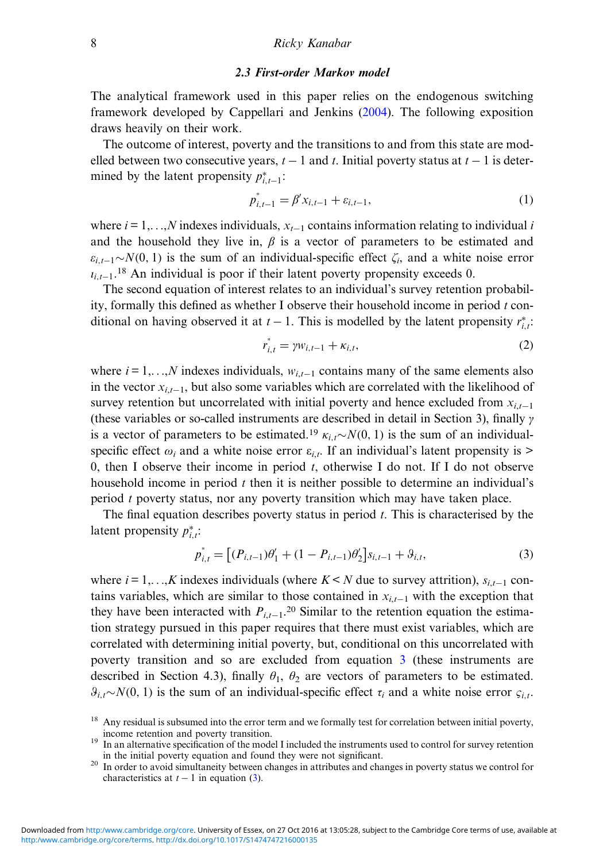#### 2.3 First-order Markov model

<span id="page-7-0"></span>The analytical framework used in this paper relies on the endogenous switching framework developed by Cappellari and Jenkins ([2004\)](#page-41-0). The following exposition draws heavily on their work.

The outcome of interest, poverty and the transitions to and from this state are modelled between two consecutive years,  $t - 1$  and t. Initial poverty status at  $t - 1$  is determined by the latent propensity  $p_{i,t-1}^*$ :

$$
p_{i,t-1}^* = \beta' x_{i,t-1} + \varepsilon_{i,t-1},\tag{1}
$$

where  $i = 1,...,N$  indexes individuals,  $x_{t-1}$  contains information relating to individual i and the household they live in,  $\beta$  is a vector of parameters to be estimated and  $\varepsilon_{i,t-1} \sim N(0, 1)$  is the sum of an individual-specific effect  $\zeta_i$ , and a white noise error  $t_{i,t-1}$ .<sup>18</sup> An individual is poor if their latent poverty propensity exceeds 0.

The second equation of interest relates to an individual's survey retention probability, formally this defined as whether I observe their household income in period  $t$  conditional on having observed it at  $t-1$ . This is modelled by the latent propensity  $r_{i,t}^*$ .

$$
r_{i,t}^* = \gamma w_{i,t-1} + \kappa_{i,t},
$$
 (2)

where  $i = 1,...,N$  indexes individuals,  $w_{i,t-1}$  contains many of the same elements also in the vector  $x_{i,t-1}$ , but also some variables which are correlated with the likelihood of survey retention but uncorrelated with initial poverty and hence excluded from  $x_{i,t-1}$ (these variables or so-called instruments are described in detail in Section 3), finally  $\gamma$ is a vector of parameters to be estimated.<sup>19</sup>  $\kappa_i \sim N(0, 1)$  is the sum of an individualspecific effect  $\omega_i$  and a white noise error  $\varepsilon_{i,t}$ . If an individual's latent propensity is > 0, then I observe their income in period  $t$ , otherwise I do not. If I do not observe household income in period  $t$  then it is neither possible to determine an individual's period t poverty status, nor any poverty transition which may have taken place.

The final equation describes poverty status in period  $t$ . This is characterised by the latent propensity  $p_{i,t}^*$ :

$$
p_{i,t}^* = \left[ (P_{i,t-1})\theta'_1 + (1 - P_{i,t-1})\theta'_2 \right] s_{i,t-1} + \vartheta_{i,t},\tag{3}
$$

where  $i = 1, \ldots, K$  indexes individuals (where  $K \le N$  due to survey attrition),  $s_{i,t-1}$  contains variables, which are similar to those contained in  $x_{i,t-1}$  with the exception that they have been interacted with  $P_{i,t-1}$ <sup>20</sup> Similar to the retention equation the estimation strategy pursued in this paper requires that there must exist variables, which are correlated with determining initial poverty, but, conditional on this uncorrelated with poverty transition and so are excluded from equation 3 (these instruments are described in Section 4.3), finally  $\theta_1$ ,  $\theta_2$  are vectors of parameters to be estimated.  $\partial_{i,t} \sim N(0, 1)$  is the sum of an individual-specific effect  $\tau_i$  and a white noise error  $\varsigma_i$ .

<sup>&</sup>lt;sup>18</sup> Any residual is subsumed into the error term and we formally test for correlation between initial poverty, income retention and poverty transition. <sup>19</sup> In an alternative specification of the model I included the instruments used to control for survey retention

in the initial poverty equation and found they were not significant. <sup>20</sup> In order to avoid simultaneity between changes in attributes and changes in poverty status we control for

characteristics at  $t - 1$  in equation (3).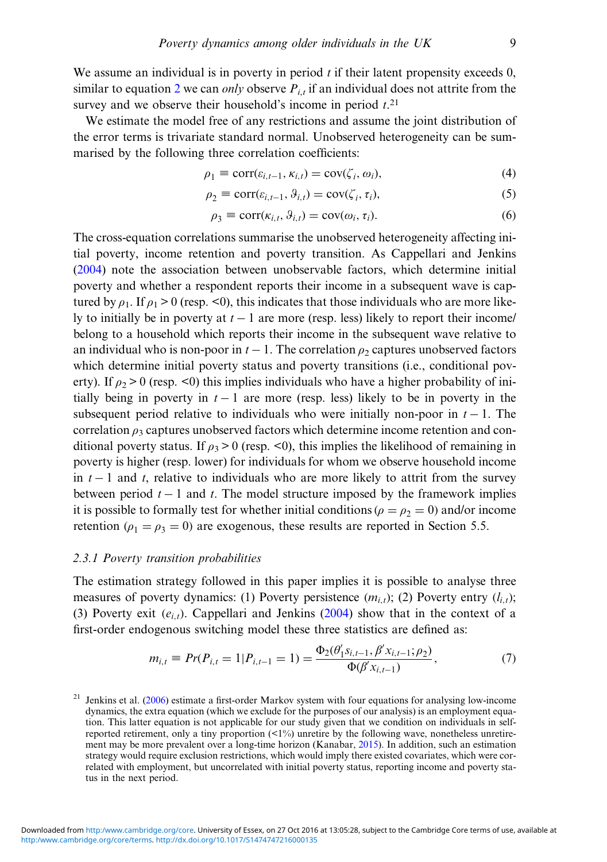We assume an individual is in poverty in period  $t$  if their latent propensity exceeds 0, similar to equation [2](#page-7-0) we can *only* observe  $P_{i,t}$  if an individual does not attrite from the survey and we observe their household's income in period  $t$ .<sup>21</sup>

We estimate the model free of any restrictions and assume the joint distribution of the error terms is trivariate standard normal. Unobserved heterogeneity can be summarised by the following three correlation coefficients:

$$
\rho_1 \equiv \text{corr}(\varepsilon_{i,t-1}, \kappa_{i,t}) = \text{cov}(\zeta_i, \omega_i),\tag{4}
$$

$$
\rho_2 \equiv \text{corr}(\varepsilon_{i,t-1}, \vartheta_{i,t}) = \text{cov}(\zeta_i, \tau_i),\tag{5}
$$

$$
\rho_3 \equiv \text{corr}(\kappa_{i,t}, \vartheta_{i,t}) = \text{cov}(\omega_i, \tau_i). \tag{6}
$$

The cross-equation correlations summarise the unobserved heterogeneity affecting initial poverty, income retention and poverty transition. As Cappellari and Jenkins ([2004\)](#page-41-0) note the association between unobservable factors, which determine initial poverty and whether a respondent reports their income in a subsequent wave is captured by  $\rho_1$ . If  $\rho_1 > 0$  (resp. <0), this indicates that those individuals who are more likely to initially be in poverty at  $t - 1$  are more (resp. less) likely to report their income/ belong to a household which reports their income in the subsequent wave relative to an individual who is non-poor in  $t - 1$ . The correlation  $\rho_2$  captures unobserved factors which determine initial poverty status and poverty transitions (i.e., conditional poverty). If  $\rho_2 > 0$  (resp. <0) this implies individuals who have a higher probability of initially being in poverty in  $t - 1$  are more (resp. less) likely to be in poverty in the subsequent period relative to individuals who were initially non-poor in  $t - 1$ . The correlation  $\rho_3$  captures unobserved factors which determine income retention and conditional poverty status. If  $\rho_3 > 0$  (resp. <0), this implies the likelihood of remaining in poverty is higher (resp. lower) for individuals for whom we observe household income in  $t - 1$  and t, relative to individuals who are more likely to attrit from the survey between period  $t - 1$  and  $t$ . The model structure imposed by the framework implies it is possible to formally test for whether initial conditions ( $\rho = \rho_2 = 0$ ) and/or income retention ( $\rho_1 = \rho_3 = 0$ ) are exogenous, these results are reported in Section 5.5.

# 2.3.1 Poverty transition probabilities

The estimation strategy followed in this paper implies it is possible to analyse three measures of poverty dynamics: (1) Poverty persistence  $(m_{i,t})$ ; (2) Poverty entry  $(l_{i,t})$ ; (3) Poverty exit  $(e_{i,t})$ . Cappellari and Jenkins ([2004\)](#page-41-0) show that in the context of a first-order endogenous switching model these three statistics are defined as:

$$
m_{i,t} \equiv Pr(P_{i,t} = 1 | P_{i,t-1} = 1) = \frac{\Phi_2(\theta'_1 s_{i,t-1}, \beta' x_{i,t-1}; \rho_2)}{\Phi(\beta' x_{i,t-1})},
$$
(7)

 $21$  Jenkins et al. ([2006\)](#page-41-0) estimate a first-order Markov system with four equations for analysing low-income dynamics, the extra equation (which we exclude for the purposes of our analysis) is an employment equation. This latter equation is not applicable for our study given that we condition on individuals in selfreported retirement, only a tiny proportion (<1%) unretire by the following wave, nonetheless unretirement may be more prevalent over a long-time horizon (Kanabar, [2015](#page-42-0)). In addition, such an estimation strategy would require exclusion restrictions, which would imply there existed covariates, which were correlated with employment, but uncorrelated with initial poverty status, reporting income and poverty status in the next period.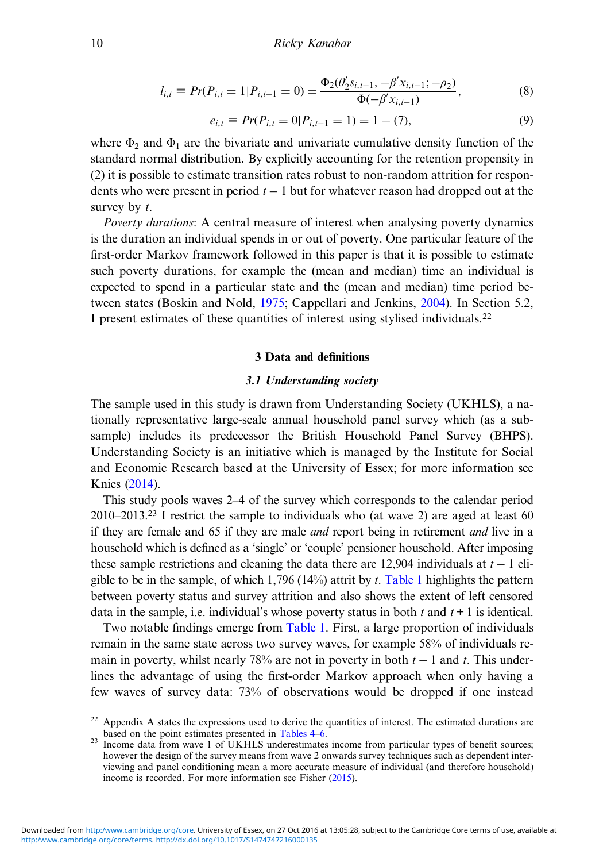$$
l_{i,t} \equiv Pr(P_{i,t} = 1 | P_{i,t-1} = 0) = \frac{\Phi_2(\theta'_2 s_{i,t-1}, -\beta' x_{i,t-1}; -\rho_2)}{\Phi(-\beta' x_{i,t-1})},
$$
(8)

$$
e_{i,t} \equiv Pr(P_{i,t} = 0|P_{i,t-1} = 1) = 1 - (7),
$$
\n(9)

where  $\Phi_2$  and  $\Phi_1$  are the bivariate and univariate cumulative density function of the standard normal distribution. By explicitly accounting for the retention propensity in (2) it is possible to estimate transition rates robust to non-random attrition for respondents who were present in period  $t - 1$  but for whatever reason had dropped out at the survey by  $t$ .

Poverty durations: A central measure of interest when analysing poverty dynamics is the duration an individual spends in or out of poverty. One particular feature of the first-order Markov framework followed in this paper is that it is possible to estimate such poverty durations, for example the (mean and median) time an individual is expected to spend in a particular state and the (mean and median) time period between states (Boskin and Nold, [1975](#page-40-0); Cappellari and Jenkins, [2004\)](#page-41-0). In Section 5.2, I present estimates of these quantities of interest using stylised individuals.<sup>22</sup>

#### 3 Data and definitions

# 3.1 Understanding society

The sample used in this study is drawn from Understanding Society (UKHLS), a nationally representative large-scale annual household panel survey which (as a subsample) includes its predecessor the British Household Panel Survey (BHPS). Understanding Society is an initiative which is managed by the Institute for Social and Economic Research based at the University of Essex; for more information see Knies ([2014\)](#page-42-0).

This study pools waves 2–4 of the survey which corresponds to the calendar period  $2010-2013.^{23}$  I restrict the sample to individuals who (at wave 2) are aged at least 60 if they are female and 65 if they are male *and* report being in retirement *and* live in a household which is defined as a 'single' or 'couple' pensioner household. After imposing these sample restrictions and cleaning the data there are 12,904 individuals at  $t - 1$  eli-gible to be in the sample, of which 1,796 (14%) attrit by t. [Table 1](#page-10-0) highlights the pattern between poverty status and survey attrition and also shows the extent of left censored data in the sample, i.e. individual's whose poverty status in both t and  $t + 1$  is identical.

Two notable findings emerge from [Table 1](#page-10-0). First, a large proportion of individuals remain in the same state across two survey waves, for example 58% of individuals remain in poverty, whilst nearly 78% are not in poverty in both  $t - 1$  and t. This underlines the advantage of using the first-order Markov approach when only having a few waves of survey data: 73% of observations would be dropped if one instead

<sup>&</sup>lt;sup>22</sup> Appendix A states the expressions used to derive the quantities of interest. The estimated durations are based on the point estimates presented in Tables  $4-6$ .

 $^{23}$  Income data from wave 1 of UKHLS underestimates income from particular types of benefit sources; however the design of the survey means from wave 2 onwards survey techniques such as dependent interviewing and panel conditioning mean a more accurate measure of individual (and therefore household) income is recorded. For more information see Fisher ([2015\)](#page-41-0).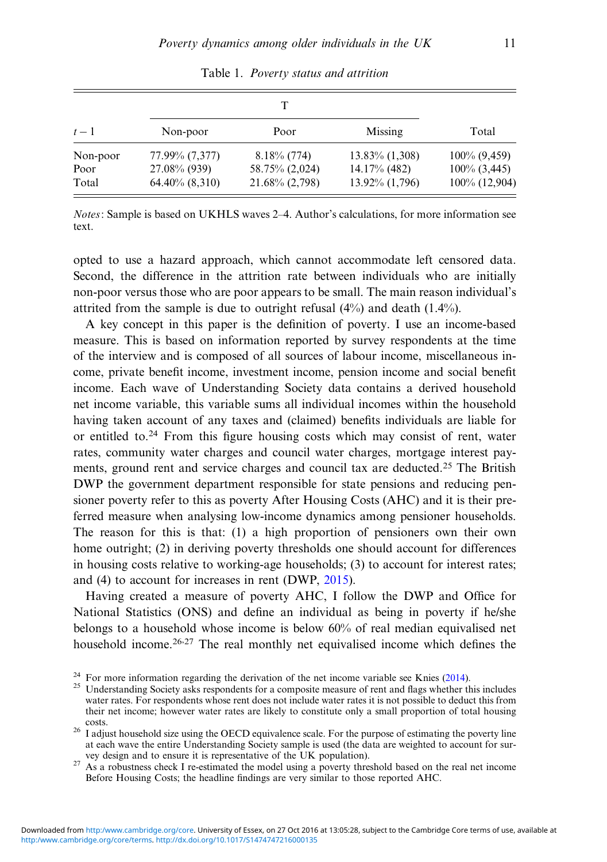<span id="page-10-0"></span>

| $t-1$    | Non-poor            | Poor              | Missing           | Total           |  |
|----------|---------------------|-------------------|-------------------|-----------------|--|
| Non-poor | 77.99% (7,377)      | $8.18\%$ (774)    | $13.83\%$ (1,308) | $100\%$ (9,459) |  |
| Poor     | 27.08% (939)        | 58.75% (2,024)    | 14.17% (482)      | $100\%$ (3,445) |  |
| Total    | $64.40\%$ $(8,310)$ | $21.68\% (2,798)$ | 13.92% (1,796)    | 100% (12,904)   |  |

Table 1. Poverty status and attrition

Notes: Sample is based on UKHLS waves 2–4. Author's calculations, for more information see text.

opted to use a hazard approach, which cannot accommodate left censored data. Second, the difference in the attrition rate between individuals who are initially non-poor versus those who are poor appears to be small. The main reason individual's attrited from the sample is due to outright refusal (4%) and death (1.4%).

A key concept in this paper is the definition of poverty. I use an income-based measure. This is based on information reported by survey respondents at the time of the interview and is composed of all sources of labour income, miscellaneous income, private benefit income, investment income, pension income and social benefit income. Each wave of Understanding Society data contains a derived household net income variable, this variable sums all individual incomes within the household having taken account of any taxes and (claimed) benefits individuals are liable for or entitled to.<sup>24</sup> From this figure housing costs which may consist of rent, water rates, community water charges and council water charges, mortgage interest payments, ground rent and service charges and council tax are deducted.<sup>25</sup> The British DWP the government department responsible for state pensions and reducing pensioner poverty refer to this as poverty After Housing Costs (AHC) and it is their preferred measure when analysing low-income dynamics among pensioner households. The reason for this is that: (1) a high proportion of pensioners own their own home outright; (2) in deriving poverty thresholds one should account for differences in housing costs relative to working-age households; (3) to account for interest rates; and (4) to account for increases in rent (DWP, [2015](#page-41-0)).

Having created a measure of poverty AHC, I follow the DWP and Office for National Statistics (ONS) and define an individual as being in poverty if he/she belongs to a household whose income is below 60% of real median equivalised net household income.<sup>26,27</sup> The real monthly net equivalised income which defines the

<sup>27</sup> As a robustness check I re-estimated the model using a poverty threshold based on the real net income Before Housing Costs; the headline findings are very similar to those reported AHC.

<sup>&</sup>lt;sup>24</sup> For more information regarding the derivation of the net income variable see Knies [\(2014](#page-42-0)).<br><sup>25</sup> Understanding Society asks respondents for a composite measure of rent and flags whether this includes water rates. For respondents whose rent does not include water rates it is not possible to deduct this from their net income; however water rates are likely to constitute only a small proportion of total housing

<sup>&</sup>lt;sup>26</sup> I adjust household size using the OECD equivalence scale. For the purpose of estimating the poverty line at each wave the entire Understanding Society sample is used (the data are weighted to account for sur-<br>vev design and to ensure it is representative of the UK population).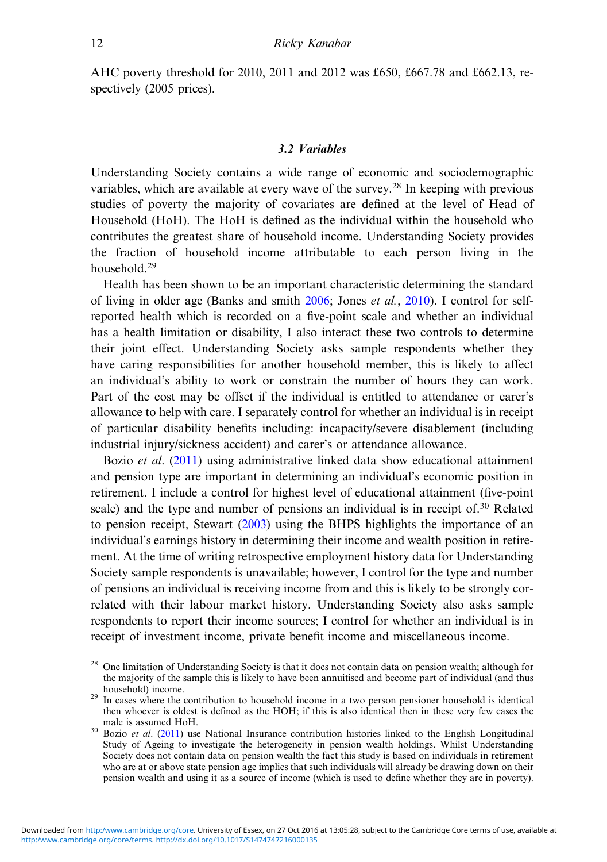AHC poverty threshold for 2010, 2011 and 2012 was £650, £667.78 and £662.13, respectively (2005 prices).

# 3.2 Variables

Understanding Society contains a wide range of economic and sociodemographic variables, which are available at every wave of the survey.<sup>28</sup> In keeping with previous studies of poverty the majority of covariates are defined at the level of Head of Household (HoH). The HoH is defined as the individual within the household who contributes the greatest share of household income. Understanding Society provides the fraction of household income attributable to each person living in the household<sup>29</sup>

Health has been shown to be an important characteristic determining the standard of living in older age (Banks and smith  $2006$ ; Jones *et al.*,  $2010$ ). I control for selfreported health which is recorded on a five-point scale and whether an individual has a health limitation or disability, I also interact these two controls to determine their joint effect. Understanding Society asks sample respondents whether they have caring responsibilities for another household member, this is likely to affect an individual's ability to work or constrain the number of hours they can work. Part of the cost may be offset if the individual is entitled to attendance or carer's allowance to help with care. I separately control for whether an individual is in receipt of particular disability benefits including: incapacity/severe disablement (including industrial injury/sickness accident) and carer's or attendance allowance.

Bozio et al. ([2011\)](#page-40-0) using administrative linked data show educational attainment and pension type are important in determining an individual's economic position in retirement. I include a control for highest level of educational attainment (five-point scale) and the type and number of pensions an individual is in receipt of.<sup>30</sup> Related to pension receipt, Stewart ([2003\)](#page-42-0) using the BHPS highlights the importance of an individual's earnings history in determining their income and wealth position in retirement. At the time of writing retrospective employment history data for Understanding Society sample respondents is unavailable; however, I control for the type and number of pensions an individual is receiving income from and this is likely to be strongly correlated with their labour market history. Understanding Society also asks sample respondents to report their income sources; I control for whether an individual is in receipt of investment income, private benefit income and miscellaneous income.

<sup>&</sup>lt;sup>28</sup> One limitation of Understanding Society is that it does not contain data on pension wealth; although for the majority of the sample this is likely to have been annuitised and become part of individual (and thus household) income.

<sup>&</sup>lt;sup>29</sup> In cases where the contribution to household income in a two person pensioner household is identical then whoever is oldest is defined as the HOH; if this is also identical then in these very few cases the

 $\frac{30 \text{ Ba} \cdot \text{Be} \cdot \text{Be} \cdot \text{Be} \cdot \text{Be}}{100 \text{ Pa} \cdot \text{Be} \cdot \text{Na}}$  Insurance contribution histories linked to the English Longitudinal Study of Ageing to investigate the heterogeneity in pension wealth holdings. Whilst Understanding Society does not contain data on pension wealth the fact this study is based on individuals in retirement who are at or above state pension age implies that such individuals will already be drawing down on their pension wealth and using it as a source of income (which is used to define whether they are in poverty).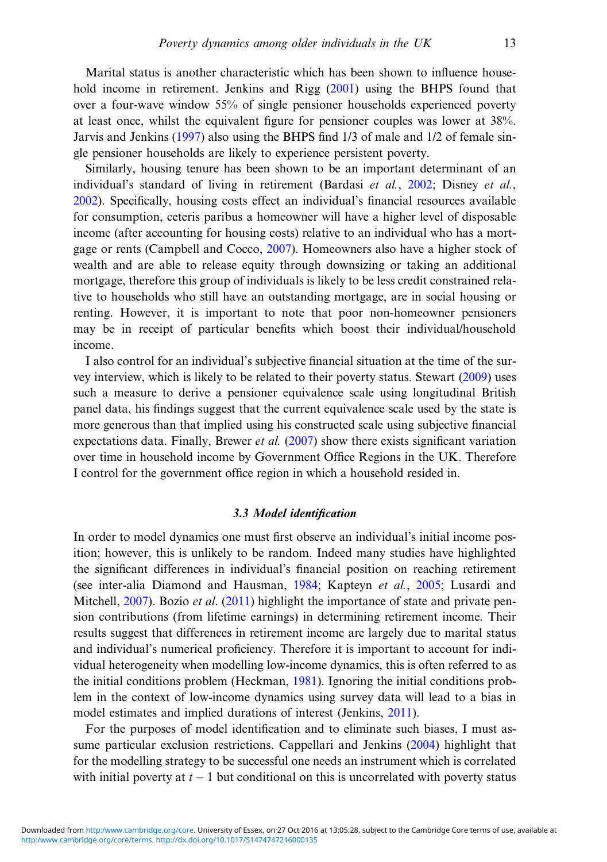Marital status is another characteristic which has been shown to influence household income in retirement. Jenkins and Rigg [\(2001](#page-41-0)) using the BHPS found that over a four-wave window 55% of single pensioner households experienced poverty at least once, whilst the equivalent figure for pensioner couples was lower at 38%. Jarvis and Jenkins [\(1997](#page-41-0)) also using the BHPS find 1/3 of male and 1/2 of female single pensioner households are likely to experience persistent poverty.

Similarly, housing tenure has been shown to be an important determinant of an individual's standard of living in retirement (Bardasi et al., [2002](#page-40-0); Disney et al., [2002\)](#page-41-0). Specifically, housing costs effect an individual's financial resources available for consumption, ceteris paribus a homeowner will have a higher level of disposable income (after accounting for housing costs) relative to an individual who has a mortgage or rents (Campbell and Cocco, [2007\)](#page-40-0). Homeowners also have a higher stock of wealth and are able to release equity through downsizing or taking an additional mortgage, therefore this group of individuals is likely to be less credit constrained relative to households who still have an outstanding mortgage, are in social housing or renting. However, it is important to note that poor non-homeowner pensioners may be in receipt of particular benefits which boost their individual/household income.

I also control for an individual's subjective financial situation at the time of the survey interview, which is likely to be related to their poverty status. Stewart [\(2009](#page-42-0)) uses such a measure to derive a pensioner equivalence scale using longitudinal British panel data, his findings suggest that the current equivalence scale used by the state is more generous than that implied using his constructed scale using subjective financial expectations data. Finally, Brewer *et al.* ([2007\)](#page-40-0) show there exists significant variation over time in household income by Government Office Regions in the UK. Therefore I control for the government office region in which a household resided in.

# 3.3 Model identification

In order to model dynamics one must first observe an individual's initial income position; however, this is unlikely to be random. Indeed many studies have highlighted the significant differences in individual's financial position on reaching retirement (see inter-alia Diamond and Hausman, [1984](#page-41-0); Kapteyn et al., [2005](#page-42-0); Lusardi and Mitchell, [2007\)](#page-42-0). Bozio *et al.* ([2011\)](#page-40-0) highlight the importance of state and private pension contributions (from lifetime earnings) in determining retirement income. Their results suggest that differences in retirement income are largely due to marital status and individual's numerical proficiency. Therefore it is important to account for individual heterogeneity when modelling low-income dynamics, this is often referred to as the initial conditions problem (Heckman, [1981\)](#page-41-0). Ignoring the initial conditions problem in the context of low-income dynamics using survey data will lead to a bias in model estimates and implied durations of interest (Jenkins, [2011](#page-41-0)).

For the purposes of model identification and to eliminate such biases, I must assume particular exclusion restrictions. Cappellari and Jenkins ([2004\)](#page-41-0) highlight that for the modelling strategy to be successful one needs an instrument which is correlated with initial poverty at  $t - 1$  but conditional on this is uncorrelated with poverty status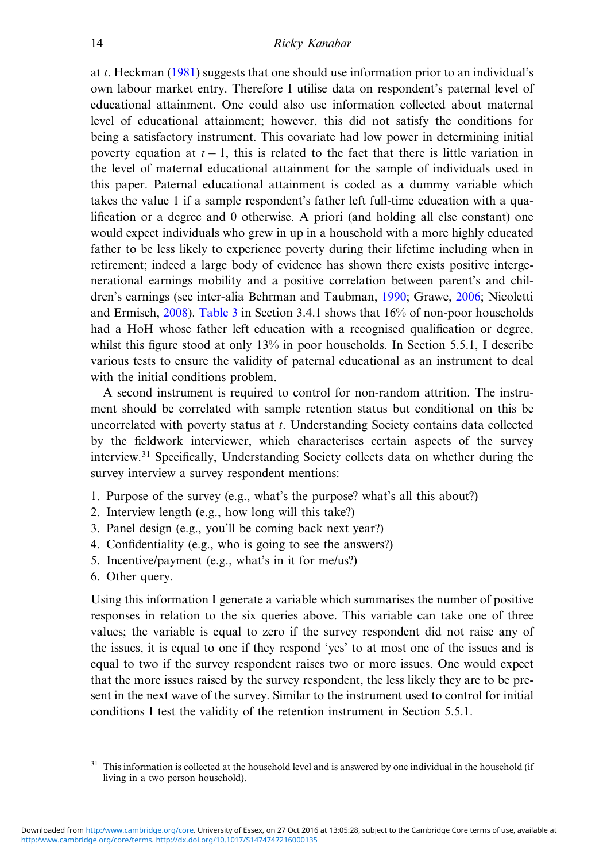at t. Heckman [\(1981](#page-41-0)) suggests that one should use information prior to an individual's own labour market entry. Therefore I utilise data on respondent's paternal level of educational attainment. One could also use information collected about maternal level of educational attainment; however, this did not satisfy the conditions for being a satisfactory instrument. This covariate had low power in determining initial poverty equation at  $t - 1$ , this is related to the fact that there is little variation in the level of maternal educational attainment for the sample of individuals used in this paper. Paternal educational attainment is coded as a dummy variable which takes the value 1 if a sample respondent's father left full-time education with a qualification or a degree and 0 otherwise. A priori (and holding all else constant) one would expect individuals who grew in up in a household with a more highly educated father to be less likely to experience poverty during their lifetime including when in retirement; indeed a large body of evidence has shown there exists positive intergenerational earnings mobility and a positive correlation between parent's and children's earnings (see inter-alia Behrman and Taubman, [1990](#page-40-0); Grawe, [2006;](#page-41-0) Nicoletti and Ermisch, [2008\)](#page-42-0). [Table 3](#page-15-0) in Section 3.4.1 shows that 16% of non-poor households had a HoH whose father left education with a recognised qualification or degree, whilst this figure stood at only 13% in poor households. In Section 5.5.1, I describe various tests to ensure the validity of paternal educational as an instrument to deal with the initial conditions problem.

A second instrument is required to control for non-random attrition. The instrument should be correlated with sample retention status but conditional on this be uncorrelated with poverty status at t. Understanding Society contains data collected by the fieldwork interviewer, which characterises certain aspects of the survey interview.<sup>31</sup> Specifically, Understanding Society collects data on whether during the survey interview a survey respondent mentions:

- 1. Purpose of the survey (e.g., what's the purpose? what's all this about?)
- 2. Interview length (e.g., how long will this take?)
- 3. Panel design (e.g., you'll be coming back next year?)
- 4. Confidentiality (e.g., who is going to see the answers?)
- 5. Incentive/payment (e.g., what's in it for me/us?)
- 6. Other query.

Using this information I generate a variable which summarises the number of positive responses in relation to the six queries above. This variable can take one of three values; the variable is equal to zero if the survey respondent did not raise any of the issues, it is equal to one if they respond 'yes' to at most one of the issues and is equal to two if the survey respondent raises two or more issues. One would expect that the more issues raised by the survey respondent, the less likely they are to be present in the next wave of the survey. Similar to the instrument used to control for initial conditions I test the validity of the retention instrument in Section 5.5.1.

<sup>&</sup>lt;sup>31</sup> This information is collected at the household level and is answered by one individual in the household (if living in a two person household).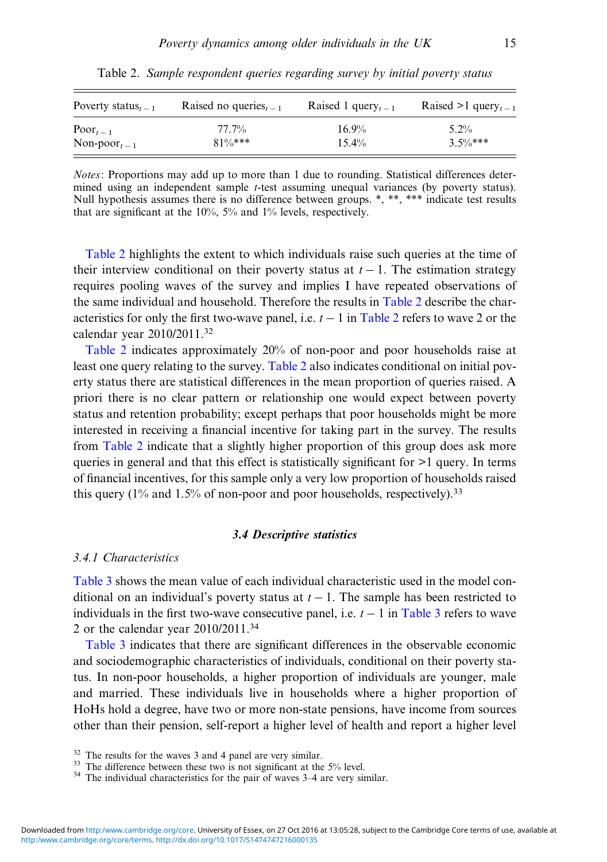| Poverty status <sub>t – 1</sub> | Raised no queries <sub><math>t-1</math></sub> | Raised 1 query, $-1$ | Raised >1 query <sub>t-1</sub> |
|---------------------------------|-----------------------------------------------|----------------------|--------------------------------|
| $\text{Poor}_{t-1}$             | 77.7%                                         | $16.9\%$             | $5.2\%$                        |
| Non-poor $_{t-1}$               | $81\%***$                                     | $15.4\%$             | $3.5\%***$                     |

Table 2. Sample respondent queries regarding survey by initial poverty status

Notes: Proportions may add up to more than 1 due to rounding. Statistical differences determined using an independent sample t-test assuming unequal variances (by poverty status). Null hypothesis assumes there is no difference between groups. \*, \*\*, \*\*\* indicate test results that are significant at the 10%, 5% and 1% levels, respectively.

Table 2 highlights the extent to which individuals raise such queries at the time of their interview conditional on their poverty status at  $t - 1$ . The estimation strategy requires pooling waves of the survey and implies I have repeated observations of the same individual and household. Therefore the results in Table 2 describe the characteristics for only the first two-wave panel, i.e.  $t - 1$  in Table 2 refers to wave 2 or the calendar year 2010/2011.32

Table 2 indicates approximately 20% of non-poor and poor households raise at least one query relating to the survey. Table 2 also indicates conditional on initial poverty status there are statistical differences in the mean proportion of queries raised. A priori there is no clear pattern or relationship one would expect between poverty status and retention probability; except perhaps that poor households might be more interested in receiving a financial incentive for taking part in the survey. The results from Table 2 indicate that a slightly higher proportion of this group does ask more queries in general and that this effect is statistically significant for >1 query. In terms of financial incentives, for this sample only a very low proportion of households raised this query  $(1\%$  and  $1.5\%$  of non-poor and poor households, respectively).<sup>33</sup>

# 3.4 Descriptive statistics

# 3.4.1 Characteristics

[Table 3](#page-15-0) shows the mean value of each individual characteristic used in the model conditional on an individual's poverty status at  $t - 1$ . The sample has been restricted to individuals in the first two-wave consecutive panel, i.e.  $t - 1$  in [Table 3](#page-15-0) refers to wave 2 or the calendar year 2010/2011.34

[Table 3](#page-15-0) indicates that there are significant differences in the observable economic and sociodemographic characteristics of individuals, conditional on their poverty status. In non-poor households, a higher proportion of individuals are younger, male and married. These individuals live in households where a higher proportion of HoHs hold a degree, have two or more non-state pensions, have income from sources other than their pension, self-report a higher level of health and report a higher level

<sup>&</sup>lt;sup>32</sup> The results for the waves 3 and 4 panel are very similar.<br><sup>33</sup> The difference between these two is not significant at the 5% level.<br><sup>34</sup> The individual characteristics for the pair of waves 3–4 are very similar.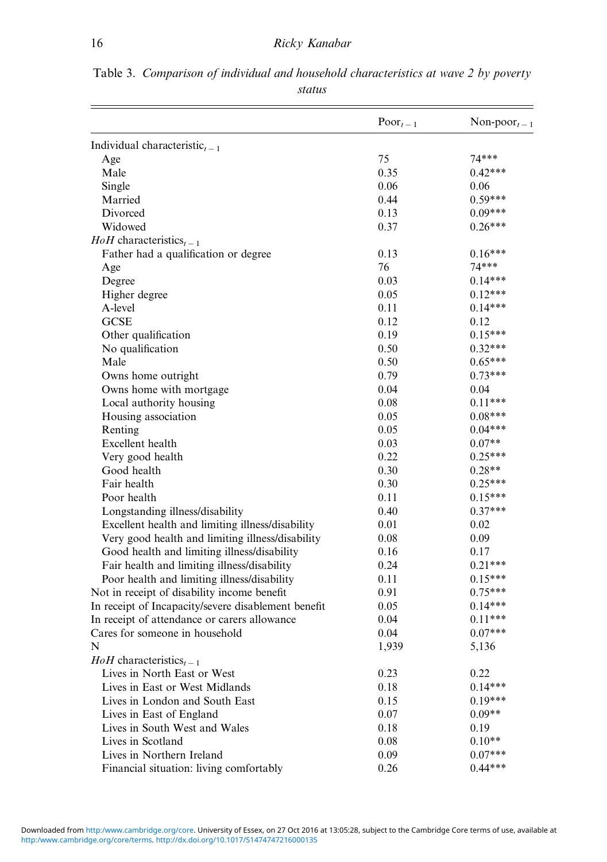|                                                     | $\text{Poor}_{t-1}$ | Non-poor $_{t-1}$ |
|-----------------------------------------------------|---------------------|-------------------|
| Individual characteristic <sub>t-1</sub>            |                     |                   |
| Age                                                 | 75                  | $74***$           |
| Male                                                | 0.35                | $0.42***$         |
| Single                                              | 0.06                | 0.06              |
| Married                                             | 0.44                | $0.59***$         |
| Divorced                                            | 0.13                | $0.09***$         |
| Widowed                                             | 0.37                | $0.26***$         |
| $H \circ H$ characteristics <sub>t-1</sub>          |                     |                   |
| Father had a qualification or degree                | 0.13                | $0.16***$         |
| Age                                                 | 76                  | $74***$           |
| Degree                                              | 0.03                | $0.14***$         |
| Higher degree                                       | 0.05                | $0.12***$         |
| A-level                                             | 0.11                | $0.14***$         |
| <b>GCSE</b>                                         | 0.12                | 0.12              |
| Other qualification                                 | 0.19                | $0.15***$         |
| No qualification                                    | 0.50                | $0.32***$         |
| Male                                                | 0.50                | $0.65***$         |
| Owns home outright                                  | 0.79                | $0.73***$         |
| Owns home with mortgage                             | 0.04                | 0.04              |
| Local authority housing                             | 0.08                | $0.11***$         |
| Housing association                                 | 0.05                | $0.08***$         |
| Renting                                             | 0.05                | $0.04***$         |
| Excellent health                                    | 0.03                | $0.07**$          |
| Very good health                                    | 0.22                | $0.25***$         |
| Good health                                         | 0.30                | $0.28**$          |
| Fair health                                         | 0.30                | $0.25***$         |
| Poor health                                         | 0.11                | $0.15***$         |
| Longstanding illness/disability                     | 0.40                | $0.37***$         |
| Excellent health and limiting illness/disability    | 0.01                | 0.02              |
| Very good health and limiting illness/disability    | 0.08                | 0.09              |
| Good health and limiting illness/disability         | 0.16                | 0.17              |
| Fair health and limiting illness/disability         | 0.24                | $0.21***$         |
| Poor health and limiting illness/disability         | 0.11                | $0.15***$         |
| Not in receipt of disability income benefit         | 0.91                | $0.75***$         |
| In receipt of Incapacity/severe disablement benefit | 0.05                | $0.14***$         |
| In receipt of attendance or carers allowance        | 0.04                | $0.11***$         |
| Cares for someone in household                      | 0.04                | $0.07***$         |
| N                                                   | 1,939               | 5,136             |
| $H \circ H$ characteristics <sub>t-1</sub>          |                     |                   |
| Lives in North East or West                         | 0.23                | 0.22              |
| Lives in East or West Midlands                      | 0.18                | $0.14***$         |
| Lives in London and South East                      | 0.15                | $0.19***$         |
| Lives in East of England                            | $0.07\,$            | $0.09**$          |
| Lives in South West and Wales                       | 0.18                | 0.19              |
| Lives in Scotland                                   | $0.08\,$            | $0.10**$          |
| Lives in Northern Ireland                           | 0.09                | $0.07***$         |
| Financial situation: living comfortably             | 0.26                | $0.44***$         |

<span id="page-15-0"></span>Table 3. Comparison of individual and household characteristics at wave 2 by poverty status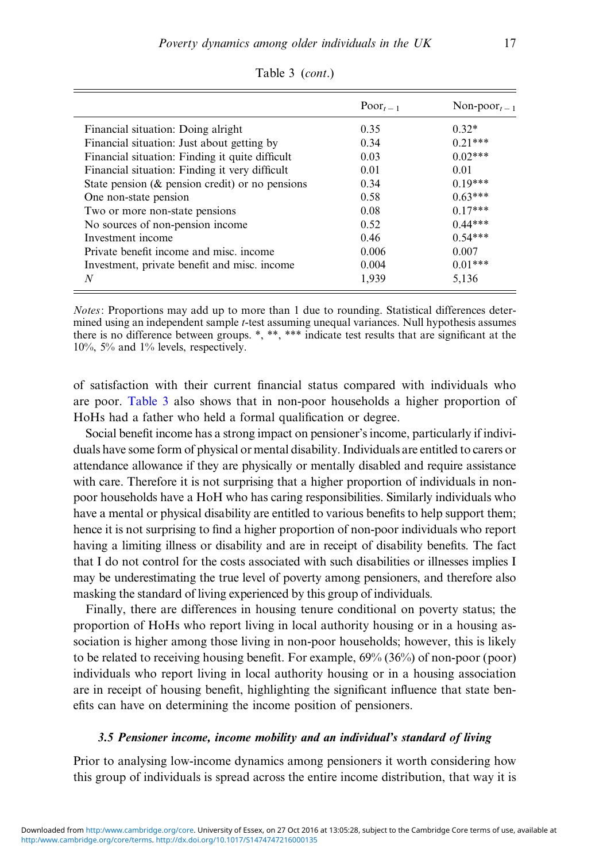|                                                     | $\text{Poor}_{t-1}$ | Non-poor $_{t-1}$ |
|-----------------------------------------------------|---------------------|-------------------|
| Financial situation: Doing alright                  | 0.35                | $0.32*$           |
| Financial situation: Just about getting by          | 0.34                | $0.21***$         |
| Financial situation: Finding it quite difficult     | 0.03                | $0.02***$         |
| Financial situation: Finding it very difficult      | 0.01                | 0.01              |
| State pension ( $\&$ pension credit) or no pensions | 0.34                | $0.19***$         |
| One non-state pension                               | 0.58                | $0.63***$         |
| Two or more non-state pensions                      | 0.08                | $0.17***$         |
| No sources of non-pension income                    | 0.52                | $0.44***$         |
| Investment income                                   | 0.46                | $0.54***$         |
| Private benefit income and misc. income             | 0.006               | 0.007             |
| Investment, private benefit and misc. income        | 0.004               | $0.01***$         |
| N                                                   | 1,939               | 5,136             |

Table 3 (cont.)

Notes: Proportions may add up to more than 1 due to rounding. Statistical differences determined using an independent sample t-test assuming unequal variances. Null hypothesis assumes there is no difference between groups. \*, \*\*, \*\*\* indicate test results that are significant at the 10%, 5% and 1% levels, respectively.

of satisfaction with their current financial status compared with individuals who are poor. [Table 3](#page-15-0) also shows that in non-poor households a higher proportion of HoHs had a father who held a formal qualification or degree.

Social benefit income has a strong impact on pensioner's income, particularly if individuals have some form of physical or mental disability. Individuals are entitled to carers or attendance allowance if they are physically or mentally disabled and require assistance with care. Therefore it is not surprising that a higher proportion of individuals in nonpoor households have a HoH who has caring responsibilities. Similarly individuals who have a mental or physical disability are entitled to various benefits to help support them; hence it is not surprising to find a higher proportion of non-poor individuals who report having a limiting illness or disability and are in receipt of disability benefits. The fact that I do not control for the costs associated with such disabilities or illnesses implies I may be underestimating the true level of poverty among pensioners, and therefore also masking the standard of living experienced by this group of individuals.

Finally, there are differences in housing tenure conditional on poverty status; the proportion of HoHs who report living in local authority housing or in a housing association is higher among those living in non-poor households; however, this is likely to be related to receiving housing benefit. For example, 69% (36%) of non-poor (poor) individuals who report living in local authority housing or in a housing association are in receipt of housing benefit, highlighting the significant influence that state benefits can have on determining the income position of pensioners.

#### 3.5 Pensioner income, income mobility and an individual's standard of living

Prior to analysing low-income dynamics among pensioners it worth considering how this group of individuals is spread across the entire income distribution, that way it is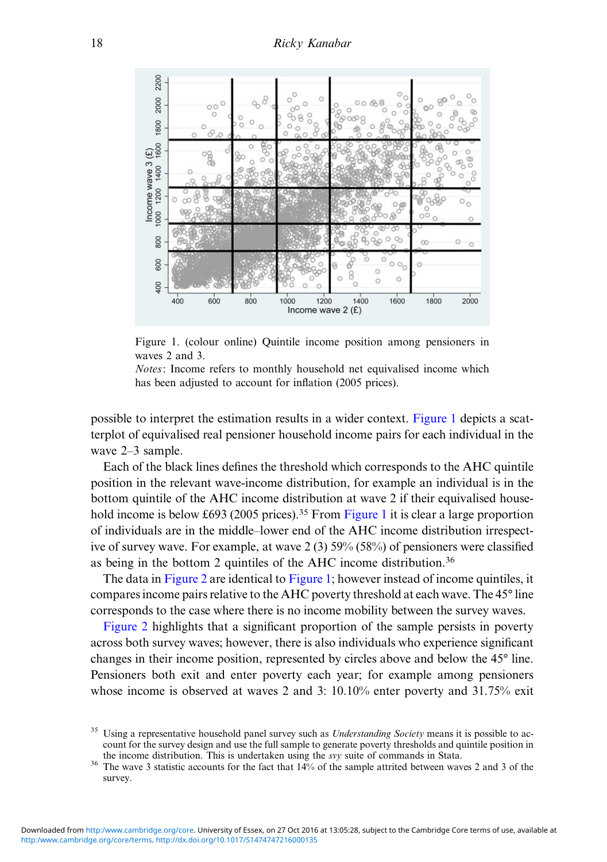<span id="page-17-0"></span>

Figure 1. (colour online) Quintile income position among pensioners in waves 2 and 3.

Notes: Income refers to monthly household net equivalised income which has been adjusted to account for inflation (2005 prices).

possible to interpret the estimation results in a wider context. Figure 1 depicts a scatterplot of equivalised real pensioner household income pairs for each individual in the wave 2–3 sample.

Each of the black lines defines the threshold which corresponds to the AHC quintile position in the relevant wave-income distribution, for example an individual is in the bottom quintile of the AHC income distribution at wave 2 if their equivalised household income is below £693 (2005 prices).<sup>35</sup> From Figure 1 it is clear a large proportion of individuals are in the middle–lower end of the AHC income distribution irrespective of survey wave. For example, at wave 2 (3) 59% (58%) of pensioners were classified as being in the bottom 2 quintiles of the AHC income distribution.<sup>36</sup>

The data in [Figure 2](#page-18-0) are identical to Figure 1; however instead of income quintiles, it compares income pairs relative to the AHC poverty threshold at each wave. The 45° line corresponds to the case where there is no income mobility between the survey waves.

[Figure 2](#page-18-0) highlights that a significant proportion of the sample persists in poverty across both survey waves; however, there is also individuals who experience significant changes in their income position, represented by circles above and below the 45° line. Pensioners both exit and enter poverty each year; for example among pensioners whose income is observed at waves 2 and 3: 10.10% enter poverty and 31.75% exit

<sup>&</sup>lt;sup>35</sup> Using a representative household panel survey such as *Understanding Society* means it is possible to account for the survey design and use the full sample to generate poverty thresholds and quintile position in

the income distribution. This is undertaken using the *svy* suite of commands in Stata. <sup>36</sup> The wave 3 statistic accounts for the fact that 14% of the sample attrited between waves 2 and 3 of the survey.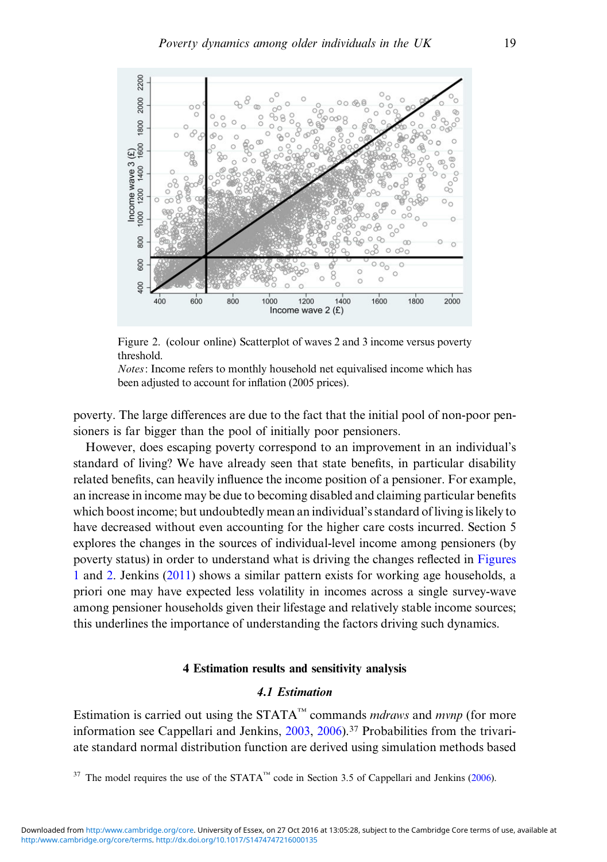<span id="page-18-0"></span>

Figure 2. (colour online) Scatterplot of waves 2 and 3 income versus poverty threshold.

Notes: Income refers to monthly household net equivalised income which has been adjusted to account for inflation (2005 prices).

poverty. The large differences are due to the fact that the initial pool of non-poor pensioners is far bigger than the pool of initially poor pensioners.

However, does escaping poverty correspond to an improvement in an individual's standard of living? We have already seen that state benefits, in particular disability related benefits, can heavily influence the income position of a pensioner. For example, an increase in income may be due to becoming disabled and claiming particular benefits which boost income; but undoubtedly mean an individual's standard of living is likely to have decreased without even accounting for the higher care costs incurred. Section 5 explores the changes in the sources of individual-level income among pensioners (by poverty status) in order to understand what is driving the changes reflected in [Figures](#page-17-0) [1](#page-17-0) and 2. Jenkins ([2011\)](#page-41-0) shows a similar pattern exists for working age households, a priori one may have expected less volatility in incomes across a single survey-wave among pensioner households given their lifestage and relatively stable income sources; this underlines the importance of understanding the factors driving such dynamics.

# 4 Estimation results and sensitivity analysis

# 4.1 Estimation

Estimation is carried out using the STATA<sup>™</sup> commands *mdraws* and *mvnp* (for more information see Cappellari and Jenkins, [2003](#page-40-0), [2006\)](#page-41-0).<sup>37</sup> Probabilities from the trivariate standard normal distribution function are derived using simulation methods based

<sup>37</sup> The model requires the use of the STATA<sup>™</sup> code in Section 3.5 of Cappellari and Jenkins [\(2006](#page-41-0)).

[http:/www.cambridge.org/core/terms.](http:/www.cambridge.org/core/terms) <http://dx.doi.org/10.1017/S1474747216000135>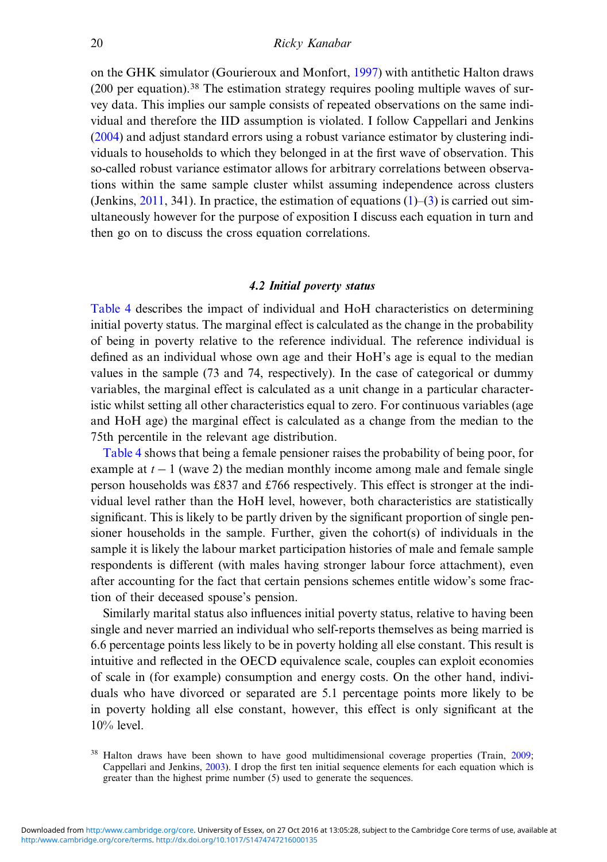on the GHK simulator (Gourieroux and Monfort, [1997](#page-41-0)) with antithetic Halton draws (200 per equation).<sup>38</sup> The estimation strategy requires pooling multiple waves of survey data. This implies our sample consists of repeated observations on the same individual and therefore the IID assumption is violated. I follow Cappellari and Jenkins ([2004\)](#page-41-0) and adjust standard errors using a robust variance estimator by clustering individuals to households to which they belonged in at the first wave of observation. This so-called robust variance estimator allows for arbitrary correlations between observations within the same sample cluster whilst assuming independence across clusters (Jenkins,  $2011$ , 341). In practice, the estimation of equations  $(1)$  $(1)$ – $(3)$  $(3)$  is carried out simultaneously however for the purpose of exposition I discuss each equation in turn and then go on to discuss the cross equation correlations.

# 4.2 Initial poverty status

[Table 4](#page-20-0) describes the impact of individual and HoH characteristics on determining initial poverty status. The marginal effect is calculated as the change in the probability of being in poverty relative to the reference individual. The reference individual is defined as an individual whose own age and their HoH's age is equal to the median values in the sample (73 and 74, respectively). In the case of categorical or dummy variables, the marginal effect is calculated as a unit change in a particular characteristic whilst setting all other characteristics equal to zero. For continuous variables (age and HoH age) the marginal effect is calculated as a change from the median to the 75th percentile in the relevant age distribution.

[Table 4](#page-20-0) shows that being a female pensioner raises the probability of being poor, for example at  $t - 1$  (wave 2) the median monthly income among male and female single person households was £837 and £766 respectively. This effect is stronger at the individual level rather than the HoH level, however, both characteristics are statistically significant. This is likely to be partly driven by the significant proportion of single pensioner households in the sample. Further, given the cohort(s) of individuals in the sample it is likely the labour market participation histories of male and female sample respondents is different (with males having stronger labour force attachment), even after accounting for the fact that certain pensions schemes entitle widow's some fraction of their deceased spouse's pension.

Similarly marital status also influences initial poverty status, relative to having been single and never married an individual who self-reports themselves as being married is 6.6 percentage points less likely to be in poverty holding all else constant. This result is intuitive and reflected in the OECD equivalence scale, couples can exploit economies of scale in (for example) consumption and energy costs. On the other hand, individuals who have divorced or separated are 5.1 percentage points more likely to be in poverty holding all else constant, however, this effect is only significant at the 10% level.

<sup>&</sup>lt;sup>38</sup> Halton draws have been shown to have good multidimensional coverage properties (Train, [2009;](#page-43-0) Cappellari and Jenkins, [2003](#page-40-0)). I drop the first ten initial sequence elements for each equation which is greater than the highest prime number (5) used to generate the sequences.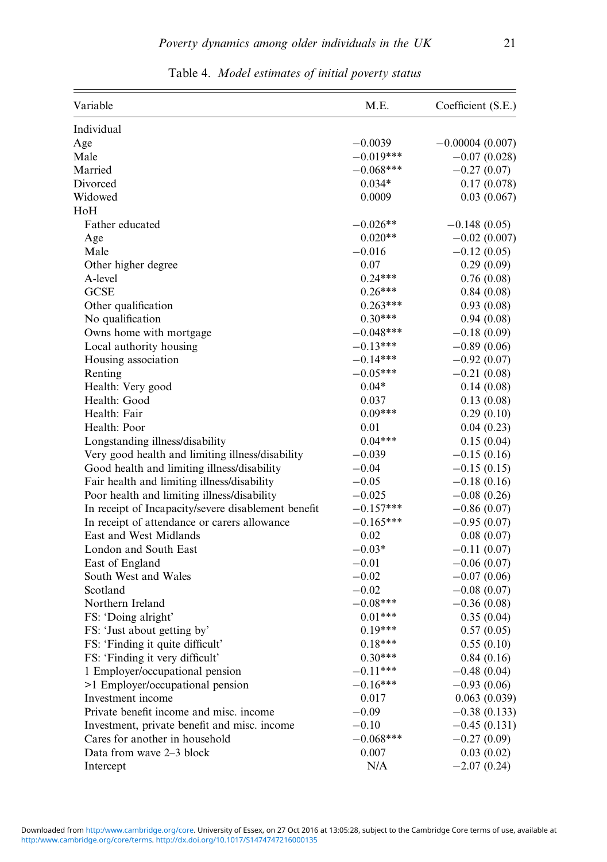<span id="page-20-0"></span>

| Variable                                                   | M.E.                 | Coefficient (S.E.)          |
|------------------------------------------------------------|----------------------|-----------------------------|
| Individual                                                 |                      |                             |
| Age                                                        | $-0.0039$            | $-0.00004(0.007)$           |
| Male                                                       | $-0.019***$          | $-0.07(0.028)$              |
| Married                                                    | $-0.068***$          | $-0.27(0.07)$               |
| Divorced                                                   | $0.034*$             | 0.17(0.078)                 |
| Widowed                                                    | 0.0009               | 0.03(0.067)                 |
| HoH                                                        |                      |                             |
| Father educated                                            | $-0.026**$           | $-0.148(0.05)$              |
| Age                                                        | $0.020**$            | $-0.02(0.007)$              |
| Male                                                       | $-0.016$             | $-0.12(0.05)$               |
| Other higher degree                                        | 0.07                 | 0.29(0.09)                  |
| A-level                                                    | $0.24***$            | 0.76(0.08)                  |
| <b>GCSE</b>                                                | $0.26***$            | 0.84(0.08)                  |
| Other qualification                                        | $0.263***$           | 0.93(0.08)                  |
| No qualification                                           | $0.30***$            | 0.94(0.08)                  |
| Owns home with mortgage                                    | $-0.048***$          | $-0.18(0.09)$               |
| Local authority housing                                    | $-0.13***$           | $-0.89(0.06)$               |
| Housing association                                        | $-0.14***$           | $-0.92(0.07)$               |
| Renting                                                    | $-0.05***$           | $-0.21(0.08)$               |
| Health: Very good                                          | $0.04*$              | 0.14(0.08)                  |
| Health: Good                                               | 0.037                | 0.13(0.08)                  |
| Health: Fair                                               | $0.09***$            | 0.29(0.10)                  |
| Health: Poor                                               | 0.01                 | 0.04(0.23)                  |
| Longstanding illness/disability                            | $0.04***$            | 0.15(0.04)                  |
| Very good health and limiting illness/disability           | $-0.039$             | $-0.15(0.16)$               |
| Good health and limiting illness/disability                | $-0.04$              | $-0.15(0.15)$               |
| Fair health and limiting illness/disability                | $-0.05$              | $-0.18(0.16)$               |
| Poor health and limiting illness/disability                | $-0.025$             | $-0.08(0.26)$               |
| In receipt of Incapacity/severe disablement benefit        | $-0.157***$          | $-0.86(0.07)$               |
| In receipt of attendance or carers allowance               | $-0.165***$          | $-0.95(0.07)$               |
| East and West Midlands                                     | 0.02                 | 0.08(0.07)                  |
| London and South East                                      | $-0.03*$             | $-0.11(0.07)$               |
| East of England                                            | $-0.01$              | $-0.06(0.07)$               |
| South West and Wales                                       | $-0.02$              | $-0.07(0.06)$               |
| Scotland                                                   | $-0.02$              | $-0.08(0.07)$               |
| Northern Ireland                                           | $-0.08***$           | $-0.36(0.08)$               |
| FS: 'Doing alright'                                        | $0.01***$            | 0.35(0.04)                  |
| FS: 'Just about getting by'                                | $0.19***$            | 0.57(0.05)                  |
| FS: 'Finding it quite difficult'                           | $0.18***$            | 0.55(0.10)                  |
| FS: 'Finding it very difficult'                            | $0.30***$            | 0.84(0.16)                  |
| 1 Employer/occupational pension                            | $-0.11***$           | $-0.48(0.04)$               |
| >1 Employer/occupational pension                           | $-0.16***$           | $-0.93(0.06)$               |
| Investment income                                          | 0.017                | 0.063(0.039)                |
| Private benefit income and misc. income                    | $-0.09$              | $-0.38(0.133)$              |
| Investment, private benefit and misc. income               | $-0.10$              | $-0.45(0.131)$              |
|                                                            |                      |                             |
|                                                            |                      |                             |
| Cares for another in household<br>Data from wave 2-3 block | $-0.068***$<br>0.007 | $-0.27(0.09)$<br>0.03(0.02) |

Table 4. Model estimates of initial poverty status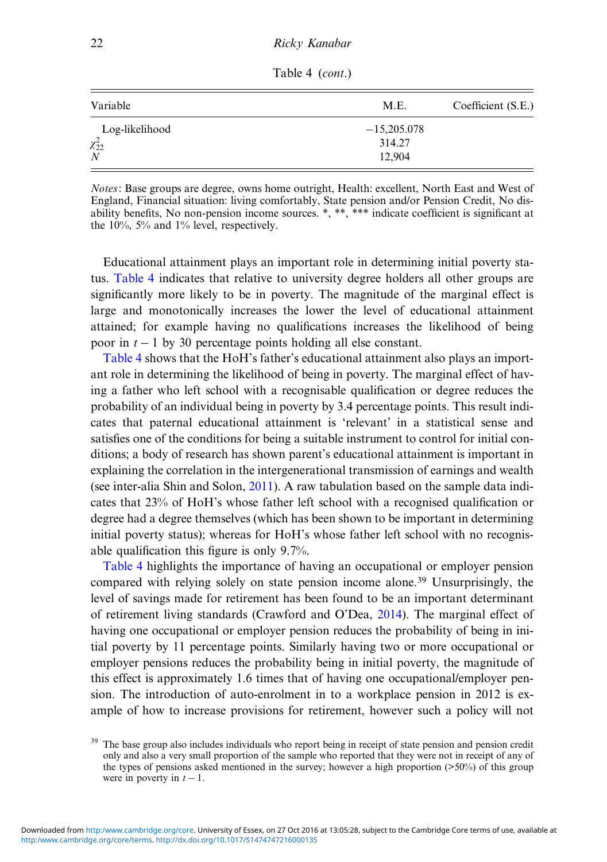| Variable         | M.E.          | Coefficient (S.E.) |  |
|------------------|---------------|--------------------|--|
| Log-likelihood   | $-15,205,078$ |                    |  |
| $\chi_{22}^2$    | 314.27        |                    |  |
| $\boldsymbol{N}$ | 12.904        |                    |  |

Table 4 (cont.)

Notes: Base groups are degree, owns home outright, Health: excellent, North East and West of England, Financial situation: living comfortably, State pension and/or Pension Credit, No disability benefits, No non-pension income sources. \*, \*\*, \*\*\* indicate coefficient is significant at the 10%, 5% and 1% level, respectively.

Educational attainment plays an important role in determining initial poverty status. [Table 4](#page-20-0) indicates that relative to university degree holders all other groups are significantly more likely to be in poverty. The magnitude of the marginal effect is large and monotonically increases the lower the level of educational attainment attained; for example having no qualifications increases the likelihood of being poor in  $t - 1$  by 30 percentage points holding all else constant.

[Table 4](#page-20-0) shows that the HoH's father's educational attainment also plays an important role in determining the likelihood of being in poverty. The marginal effect of having a father who left school with a recognisable qualification or degree reduces the probability of an individual being in poverty by 3.4 percentage points. This result indicates that paternal educational attainment is 'relevant' in a statistical sense and satisfies one of the conditions for being a suitable instrument to control for initial conditions; a body of research has shown parent's educational attainment is important in explaining the correlation in the intergenerational transmission of earnings and wealth (see inter-alia Shin and Solon, [2011](#page-42-0)). A raw tabulation based on the sample data indicates that 23% of HoH's whose father left school with a recognised qualification or degree had a degree themselves (which has been shown to be important in determining initial poverty status); whereas for HoH's whose father left school with no recognisable qualification this figure is only 9.7%.

[Table 4](#page-20-0) highlights the importance of having an occupational or employer pension compared with relying solely on state pension income alone.<sup>39</sup> Unsurprisingly, the level of savings made for retirement has been found to be an important determinant of retirement living standards (Crawford and O'Dea, [2014\)](#page-41-0). The marginal effect of having one occupational or employer pension reduces the probability of being in initial poverty by 11 percentage points. Similarly having two or more occupational or employer pensions reduces the probability being in initial poverty, the magnitude of this effect is approximately 1.6 times that of having one occupational/employer pension. The introduction of auto-enrolment in to a workplace pension in 2012 is example of how to increase provisions for retirement, however such a policy will not

<sup>&</sup>lt;sup>39</sup> The base group also includes individuals who report being in receipt of state pension and pension credit only and also a very small proportion of the sample who reported that they were not in receipt of any of the types of pensions asked mentioned in the survey; however a high proportion ( $>50\%$ ) of this group were in poverty in  $t - 1$ .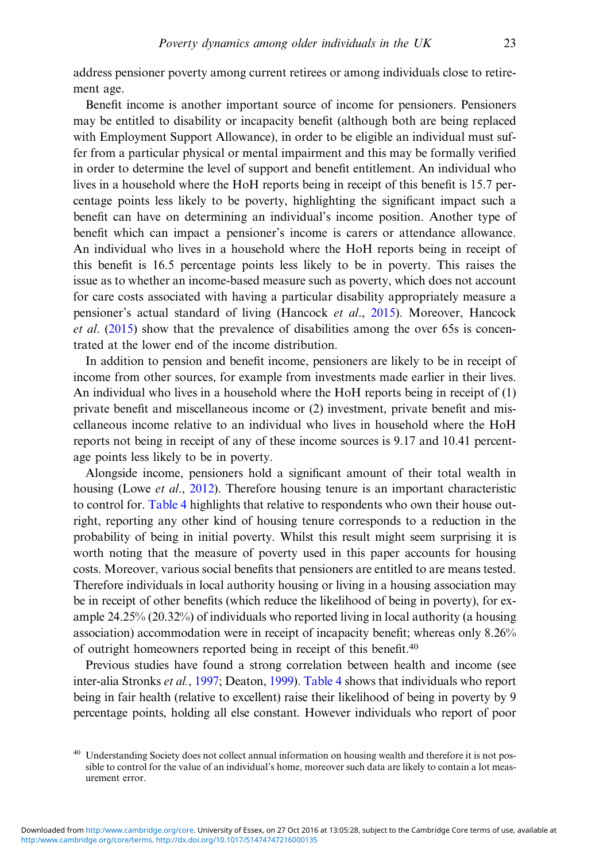address pensioner poverty among current retirees or among individuals close to retirement age.

Benefit income is another important source of income for pensioners. Pensioners may be entitled to disability or incapacity benefit (although both are being replaced with Employment Support Allowance), in order to be eligible an individual must suffer from a particular physical or mental impairment and this may be formally verified in order to determine the level of support and benefit entitlement. An individual who lives in a household where the HoH reports being in receipt of this benefit is 15.7 percentage points less likely to be poverty, highlighting the significant impact such a benefit can have on determining an individual's income position. Another type of benefit which can impact a pensioner's income is carers or attendance allowance. An individual who lives in a household where the HoH reports being in receipt of this benefit is 16.5 percentage points less likely to be in poverty. This raises the issue as to whether an income-based measure such as poverty, which does not account for care costs associated with having a particular disability appropriately measure a pensioner's actual standard of living (Hancock et al., [2015](#page-41-0)). Moreover, Hancock et al. [\(2015](#page-41-0)) show that the prevalence of disabilities among the over 65s is concentrated at the lower end of the income distribution.

In addition to pension and benefit income, pensioners are likely to be in receipt of income from other sources, for example from investments made earlier in their lives. An individual who lives in a household where the HoH reports being in receipt of (1) private benefit and miscellaneous income or (2) investment, private benefit and miscellaneous income relative to an individual who lives in household where the HoH reports not being in receipt of any of these income sources is 9.17 and 10.41 percentage points less likely to be in poverty.

Alongside income, pensioners hold a significant amount of their total wealth in housing (Lowe *et al.*, [2012\)](#page-42-0). Therefore housing tenure is an important characteristic to control for. [Table 4](#page-20-0) highlights that relative to respondents who own their house outright, reporting any other kind of housing tenure corresponds to a reduction in the probability of being in initial poverty. Whilst this result might seem surprising it is worth noting that the measure of poverty used in this paper accounts for housing costs. Moreover, various social benefits that pensioners are entitled to are means tested. Therefore individuals in local authority housing or living in a housing association may be in receipt of other benefits (which reduce the likelihood of being in poverty), for example 24.25% (20.32%) of individuals who reported living in local authority (a housing association) accommodation were in receipt of incapacity benefit; whereas only 8.26% of outright homeowners reported being in receipt of this benefit.40

Previous studies have found a strong correlation between health and income (see inter-alia Stronks et al., [1997;](#page-42-0) Deaton, [1999\)](#page-41-0). [Table 4](#page-20-0) shows that individuals who report being in fair health (relative to excellent) raise their likelihood of being in poverty by 9 percentage points, holding all else constant. However individuals who report of poor

<sup>&</sup>lt;sup>40</sup> Understanding Society does not collect annual information on housing wealth and therefore it is not possible to control for the value of an individual's home, moreover such data are likely to contain a lot measurement error.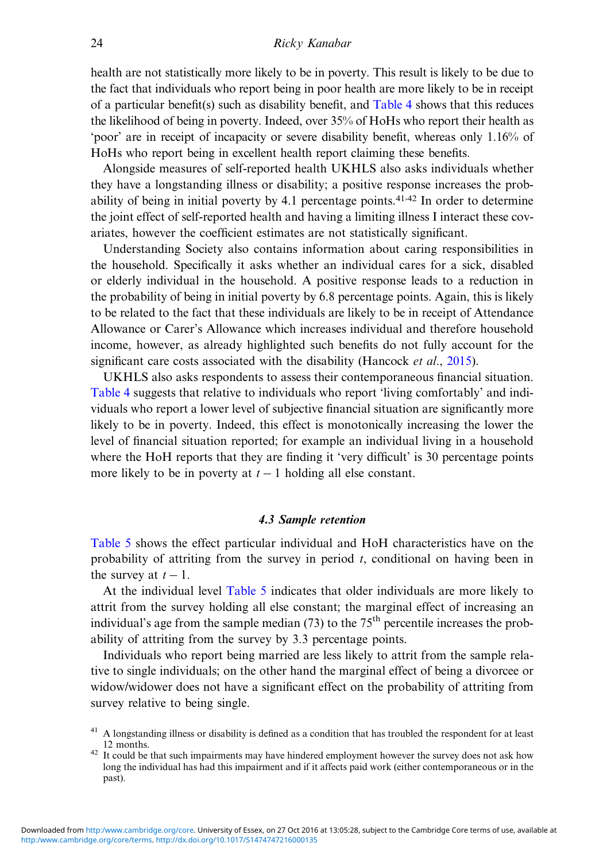health are not statistically more likely to be in poverty. This result is likely to be due to the fact that individuals who report being in poor health are more likely to be in receipt of a particular benefit(s) such as disability benefit, and [Table 4](#page-20-0) shows that this reduces the likelihood of being in poverty. Indeed, over 35% of HoHs who report their health as 'poor' are in receipt of incapacity or severe disability benefit, whereas only 1.16% of HoHs who report being in excellent health report claiming these benefits.

Alongside measures of self-reported health UKHLS also asks individuals whether they have a longstanding illness or disability; a positive response increases the probability of being in initial poverty by 4.1 percentage points.<sup>41,42</sup> In order to determine the joint effect of self-reported health and having a limiting illness I interact these covariates, however the coefficient estimates are not statistically significant.

Understanding Society also contains information about caring responsibilities in the household. Specifically it asks whether an individual cares for a sick, disabled or elderly individual in the household. A positive response leads to a reduction in the probability of being in initial poverty by 6.8 percentage points. Again, this is likely to be related to the fact that these individuals are likely to be in receipt of Attendance Allowance or Carer's Allowance which increases individual and therefore household income, however, as already highlighted such benefits do not fully account for the significant care costs associated with the disability (Hancock *et al.*, [2015](#page-41-0)).

UKHLS also asks respondents to assess their contemporaneous financial situation. [Table 4](#page-20-0) suggests that relative to individuals who report 'living comfortably' and individuals who report a lower level of subjective financial situation are significantly more likely to be in poverty. Indeed, this effect is monotonically increasing the lower the level of financial situation reported; for example an individual living in a household where the HoH reports that they are finding it 'very difficult' is 30 percentage points more likely to be in poverty at  $t - 1$  holding all else constant.

#### 4.3 Sample retention

[Table 5](#page-24-0) shows the effect particular individual and HoH characteristics have on the probability of attriting from the survey in period  $t$ , conditional on having been in the survey at  $t - 1$ .

At the individual level [Table 5](#page-24-0) indicates that older individuals are more likely to attrit from the survey holding all else constant; the marginal effect of increasing an individual's age from the sample median  $(73)$  to the  $75<sup>th</sup>$  percentile increases the probability of attriting from the survey by 3.3 percentage points.

Individuals who report being married are less likely to attrit from the sample relative to single individuals; on the other hand the marginal effect of being a divorcee or widow/widower does not have a significant effect on the probability of attriting from survey relative to being single.

<sup>&</sup>lt;sup>41</sup> A longstanding illness or disability is defined as a condition that has troubled the respondent for at least 12 months.<br><sup>42</sup> It could be that such impairments may have hindered employment however the survey does not ask how

long the individual has had this impairment and if it affects paid work (either contemporaneous or in the past).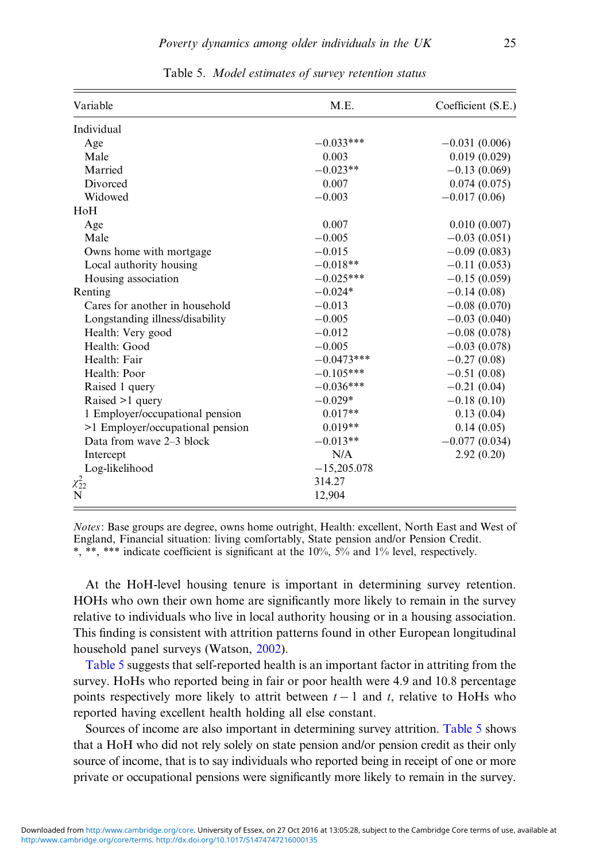<span id="page-24-0"></span>

| Variable                         | M.E.          | Coefficient (S.E.) |
|----------------------------------|---------------|--------------------|
| Individual                       |               |                    |
| Age                              | $-0.033***$   | $-0.031(0.006)$    |
| Male                             | 0.003         | 0.019(0.029)       |
| Married                          | $-0.023**$    | $-0.13(0.069)$     |
| Divorced                         | 0.007         | 0.074(0.075)       |
| Widowed                          | $-0.003$      | $-0.017(0.06)$     |
| HoH                              |               |                    |
| Age                              | 0.007         | 0.010(0.007)       |
| Male                             | $-0.005$      | $-0.03(0.051)$     |
| Owns home with mortgage          | $-0.015$      | $-0.09(0.083)$     |
| Local authority housing          | $-0.018**$    | $-0.11(0.053)$     |
| Housing association              | $-0.025***$   | $-0.15(0.059)$     |
| Renting                          | $-0.024*$     | $-0.14(0.08)$      |
| Cares for another in household   | $-0.013$      | $-0.08(0.070)$     |
| Longstanding illness/disability  | $-0.005$      | $-0.03(0.040)$     |
| Health: Very good                | $-0.012$      | $-0.08(0.078)$     |
| Health: Good                     | $-0.005$      | $-0.03(0.078)$     |
| Health: Fair                     | $-0.0473***$  | $-0.27(0.08)$      |
| Health: Poor                     | $-0.105***$   | $-0.51(0.08)$      |
| Raised 1 query                   | $-0.036***$   | $-0.21(0.04)$      |
| Raised >1 query                  | $-0.029*$     | $-0.18(0.10)$      |
| 1 Employer/occupational pension  | $0.017**$     | 0.13(0.04)         |
| >1 Employer/occupational pension | $0.019**$     | 0.14(0.05)         |
| Data from wave 2-3 block         | $-0.013**$    | $-0.077(0.034)$    |
| Intercept                        | N/A           | 2.92(0.20)         |
| Log-likelihood                   | $-15,205.078$ |                    |
| $\chi_{22}^2$                    | 314.27        |                    |
| N                                | 12,904        |                    |

Table 5. Model estimates of survey retention status

Notes: Base groups are degree, owns home outright, Health: excellent, North East and West of England, Financial situation: living comfortably, State pension and/or Pension Credit. \*, \*\*, \*\*\* indicate coefficient is significant at the 10%, 5% and 1% level, respectively.

At the HoH-level housing tenure is important in determining survey retention. HOHs who own their own home are significantly more likely to remain in the survey relative to individuals who live in local authority housing or in a housing association. This finding is consistent with attrition patterns found in other European longitudinal household panel surveys (Watson, [2002](#page-43-0)).

Table 5 suggests that self-reported health is an important factor in attriting from the survey. HoHs who reported being in fair or poor health were 4.9 and 10.8 percentage points respectively more likely to attrit between  $t - 1$  and t, relative to HoHs who reported having excellent health holding all else constant.

Sources of income are also important in determining survey attrition. Table 5 shows that a HoH who did not rely solely on state pension and/or pension credit as their only source of income, that is to say individuals who reported being in receipt of one or more private or occupational pensions were significantly more likely to remain in the survey.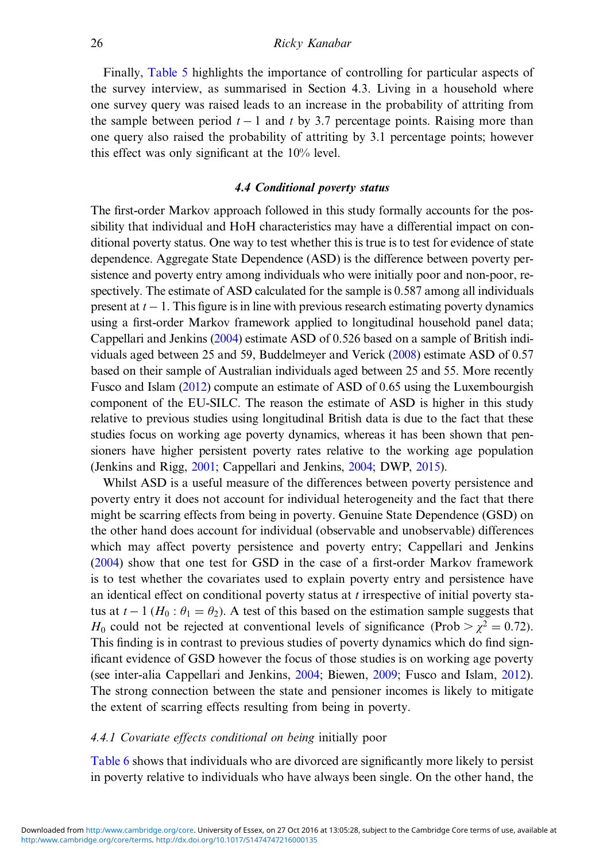Finally, [Table 5](#page-24-0) highlights the importance of controlling for particular aspects of the survey interview, as summarised in Section 4.3. Living in a household where one survey query was raised leads to an increase in the probability of attriting from the sample between period  $t - 1$  and t by 3.7 percentage points. Raising more than one query also raised the probability of attriting by 3.1 percentage points; however this effect was only significant at the 10% level.

# 4.4 Conditional poverty status

The first-order Markov approach followed in this study formally accounts for the possibility that individual and HoH characteristics may have a differential impact on conditional poverty status. One way to test whether this is true is to test for evidence of state dependence. Aggregate State Dependence (ASD) is the difference between poverty persistence and poverty entry among individuals who were initially poor and non-poor, respectively. The estimate of ASD calculated for the sample is 0.587 among all individuals present at  $t - 1$ . This figure is in line with previous research estimating poverty dynamics using a first-order Markov framework applied to longitudinal household panel data; Cappellari and Jenkins [\(2004\)](#page-41-0) estimate ASD of 0.526 based on a sample of British individuals aged between 25 and 59, Buddelmeyer and Verick [\(2008\)](#page-40-0) estimate ASD of 0.57 based on their sample of Australian individuals aged between 25 and 55. More recently Fusco and Islam ([2012](#page-41-0)) compute an estimate of ASD of 0.65 using the Luxembourgish component of the EU-SILC. The reason the estimate of ASD is higher in this study relative to previous studies using longitudinal British data is due to the fact that these studies focus on working age poverty dynamics, whereas it has been shown that pensioners have higher persistent poverty rates relative to the working age population (Jenkins and Rigg, [2001](#page-41-0); Cappellari and Jenkins, [2004;](#page-41-0) DWP, [2015\)](#page-41-0).

Whilst ASD is a useful measure of the differences between poverty persistence and poverty entry it does not account for individual heterogeneity and the fact that there might be scarring effects from being in poverty. Genuine State Dependence (GSD) on the other hand does account for individual (observable and unobservable) differences which may affect poverty persistence and poverty entry; Cappellari and Jenkins ([2004\)](#page-41-0) show that one test for GSD in the case of a first-order Markov framework is to test whether the covariates used to explain poverty entry and persistence have an identical effect on conditional poverty status at  $t$  irrespective of initial poverty status at  $t - 1$  ( $H_0: \theta_1 = \theta_2$ ). A test of this based on the estimation sample suggests that  $H_0$  could not be rejected at conventional levels of significance (Prob  $> \chi^2 = 0.72$ ). This finding is in contrast to previous studies of poverty dynamics which do find significant evidence of GSD however the focus of those studies is on working age poverty (see inter-alia Cappellari and Jenkins, [2004;](#page-41-0) Biewen, [2009](#page-40-0); Fusco and Islam, [2012\)](#page-41-0). The strong connection between the state and pensioner incomes is likely to mitigate the extent of scarring effects resulting from being in poverty.

# 4.4.1 Covariate effects conditional on being initially poor

[Table 6](#page-26-0) shows that individuals who are divorced are significantly more likely to persist in poverty relative to individuals who have always been single. On the other hand, the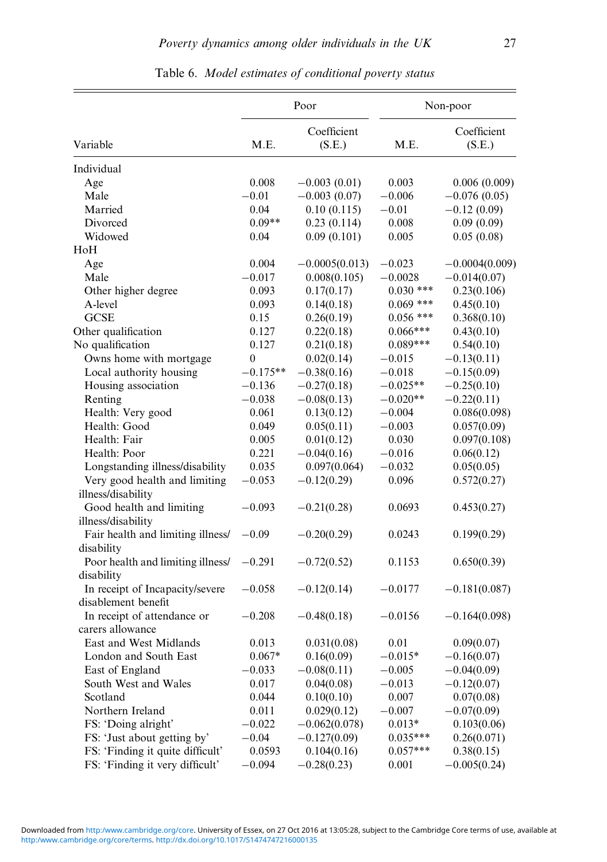<span id="page-26-0"></span>

|                                                                 |            | Poor                  |                          | Non-poor              |
|-----------------------------------------------------------------|------------|-----------------------|--------------------------|-----------------------|
| Variable                                                        | M.E.       | Coefficient<br>(S.E.) | M.E.                     | Coefficient<br>(S.E.) |
| Individual                                                      |            |                       |                          |                       |
| Age                                                             | 0.008      | $-0.003(0.01)$        | 0.003                    | 0.006(0.009)          |
| Male                                                            | $-0.01$    | $-0.003(0.07)$        | $-0.006$                 | $-0.076(0.05)$        |
| Married                                                         | 0.04       | 0.10(0.115)           | $-0.01$                  | $-0.12(0.09)$         |
| Divorced                                                        | $0.09**$   | 0.23(0.114)           | 0.008                    | 0.09(0.09)            |
| Widowed                                                         | 0.04       | 0.09(0.101)           | 0.005                    | 0.05(0.08)            |
| HoH                                                             |            |                       |                          |                       |
| Age                                                             | 0.004      | $-0.0005(0.013)$      | $-0.023$                 | $-0.0004(0.009)$      |
| Male                                                            | $-0.017$   | 0.008(0.105)          | $-0.0028$                | $-0.014(0.07)$        |
| Other higher degree                                             | 0.093      | 0.17(0.17)            | $0.030$ ***              | 0.23(0.106)           |
| A-level                                                         | 0.093      | 0.14(0.18)            | $0.069$ ***              | 0.45(0.10)            |
| <b>GCSE</b>                                                     | 0.15       | 0.26(0.19)            | $0.056$ ***              | 0.368(0.10)           |
| Other qualification                                             | 0.127      | 0.22(0.18)            | $0.066***$               | 0.43(0.10)            |
| No qualification                                                | 0.127      | 0.21(0.18)            | $0.089***$               | 0.54(0.10)            |
| Owns home with mortgage                                         | 0          | 0.02(0.14)            | $-0.015$                 | $-0.13(0.11)$         |
| Local authority housing                                         | $-0.175**$ | $-0.38(0.16)$         | $-0.018$                 | $-0.15(0.09)$         |
| Housing association                                             | $-0.136$   | $-0.27(0.18)$         | $-0.025**$               | $-0.25(0.10)$         |
| Renting                                                         | $-0.038$   | $-0.08(0.13)$         | $-0.020**$               | $-0.22(0.11)$         |
| Health: Very good                                               | 0.061      | 0.13(0.12)            | $-0.004$                 | 0.086(0.098)          |
| Health: Good                                                    | 0.049      | 0.05(0.11)            | $-0.003$                 | 0.057(0.09)           |
| Health: Fair                                                    | 0.005      | 0.01(0.12)            | 0.030                    | 0.097(0.108)          |
| Health: Poor                                                    | 0.221      | $-0.04(0.16)$         | $-0.016$                 | 0.06(0.12)            |
| Longstanding illness/disability                                 | 0.035      | 0.097(0.064)          | $-0.032$                 | 0.05(0.05)            |
| Very good health and limiting                                   | $-0.053$   | $-0.12(0.29)$         | 0.096                    | 0.572(0.27)           |
| illness/disability                                              |            |                       |                          |                       |
| Good health and limiting                                        | $-0.093$   | $-0.21(0.28)$         | 0.0693                   | 0.453(0.27)           |
| illness/disability                                              |            |                       |                          |                       |
| Fair health and limiting illness/                               | $-0.09$    | $-0.20(0.29)$         | 0.0243                   | 0.199(0.29)           |
| disability                                                      |            |                       |                          |                       |
| Poor health and limiting illness/                               | $-0.291$   | $-0.72(0.52)$         | 0.1153                   | 0.650(0.39)           |
| disability                                                      |            |                       |                          |                       |
| In receipt of Incapacity/severe                                 | $-0.058$   | $-0.12(0.14)$         | $-0.0177$                | $-0.181(0.087)$       |
| disablement benefit                                             |            |                       |                          |                       |
| In receipt of attendance or                                     | $-0.208$   | $-0.48(0.18)$         | $-0.0156$                | $-0.164(0.098)$       |
| carers allowance                                                |            |                       |                          |                       |
| East and West Midlands                                          | 0.013      | 0.031(0.08)           | 0.01                     | 0.09(0.07)            |
| London and South East                                           | $0.067*$   | 0.16(0.09)            | $-0.015*$                | $-0.16(0.07)$         |
| East of England                                                 | $-0.033$   | $-0.08(0.11)$         | $-0.005$                 | $-0.04(0.09)$         |
| South West and Wales                                            | 0.017      | 0.04(0.08)            | $-0.013$                 | $-0.12(0.07)$         |
| Scotland                                                        | 0.044      | 0.10(0.10)            | 0.007                    | 0.07(0.08)            |
|                                                                 |            |                       |                          |                       |
| Northern Ireland<br>FS: 'Doing alright'                         | 0.011      | 0.029(0.12)           | $-0.007$                 | $-0.07(0.09)$         |
|                                                                 | $-0.022$   | $-0.062(0.078)$       | $0.013*$                 | 0.103(0.06)           |
| FS: 'Just about getting by'<br>FS: 'Finding it quite difficult' | $-0.04$    | $-0.127(0.09)$        | $0.035***$<br>$0.057***$ | 0.26(0.071)           |
|                                                                 | 0.0593     | 0.104(0.16)           |                          | 0.38(0.15)            |
| FS: 'Finding it very difficult'                                 | $-0.094$   | $-0.28(0.23)$         | 0.001                    | $-0.005(0.24)$        |

Table 6. Model estimates of conditional poverty status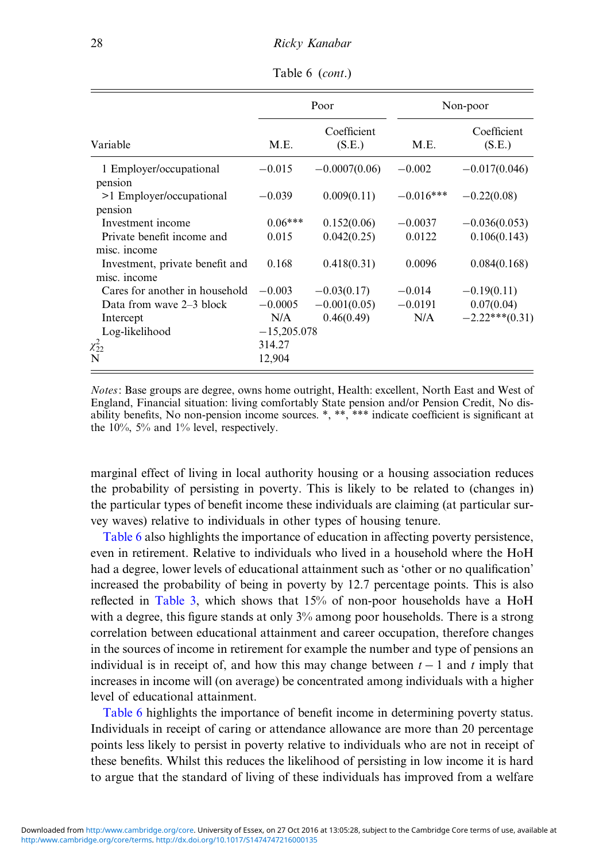|                                                 |               | Poor                  | Non-poor    |                       |  |
|-------------------------------------------------|---------------|-----------------------|-------------|-----------------------|--|
| Variable                                        | M.E.          | Coefficient<br>(S.E.) | M.E.        | Coefficient<br>(S.E.) |  |
| 1 Employer/occupational                         | $-0.015$      | $-0.0007(0.06)$       | $-0.002$    | $-0.017(0.046)$       |  |
| pension<br>>1 Employer/occupational<br>pension  | $-0.039$      | 0.009(0.11)           | $-0.016***$ | $-0.22(0.08)$         |  |
| Investment income                               | $0.06***$     | 0.152(0.06)           | $-0.0037$   | $-0.036(0.053)$       |  |
| Private benefit income and<br>misc. income      | 0.015         | 0.042(0.25)           | 0.0122      | 0.106(0.143)          |  |
| Investment, private benefit and<br>misc. income | 0.168         | 0.418(0.31)           | 0.0096      | 0.084(0.168)          |  |
| Cares for another in household                  | $-0.003$      | $-0.03(0.17)$         | $-0.014$    | $-0.19(0.11)$         |  |
| Data from wave $2-3$ block                      | $-0.0005$     | $-0.001(0.05)$        | $-0.0191$   | 0.07(0.04)            |  |
| Intercept                                       | N/A           | 0.46(0.49)            | N/A         | $-2.22***(0.31)$      |  |
| Log-likelihood                                  | $-15,205,078$ |                       |             |                       |  |
| $\chi^2_{22}$                                   | 314.27        |                       |             |                       |  |
| N                                               | 12,904        |                       |             |                       |  |

Table 6 (cont.)

Notes: Base groups are degree, owns home outright, Health: excellent, North East and West of England, Financial situation: living comfortably State pension and/or Pension Credit, No disability benefits, No non-pension income sources. \*, \*\*, \*\*\* indicate coefficient is significant at the 10%, 5% and 1% level, respectively.

marginal effect of living in local authority housing or a housing association reduces the probability of persisting in poverty. This is likely to be related to (changes in) the particular types of benefit income these individuals are claiming (at particular survey waves) relative to individuals in other types of housing tenure.

[Table 6](#page-26-0) also highlights the importance of education in affecting poverty persistence, even in retirement. Relative to individuals who lived in a household where the HoH had a degree, lower levels of educational attainment such as 'other or no qualification' increased the probability of being in poverty by 12.7 percentage points. This is also reflected in [Table 3](#page-15-0), which shows that 15% of non-poor households have a HoH with a degree, this figure stands at only  $3\%$  among poor households. There is a strong correlation between educational attainment and career occupation, therefore changes in the sources of income in retirement for example the number and type of pensions an individual is in receipt of, and how this may change between  $t - 1$  and t imply that increases in income will (on average) be concentrated among individuals with a higher level of educational attainment.

[Table 6](#page-26-0) highlights the importance of benefit income in determining poverty status. Individuals in receipt of caring or attendance allowance are more than 20 percentage points less likely to persist in poverty relative to individuals who are not in receipt of these benefits. Whilst this reduces the likelihood of persisting in low income it is hard to argue that the standard of living of these individuals has improved from a welfare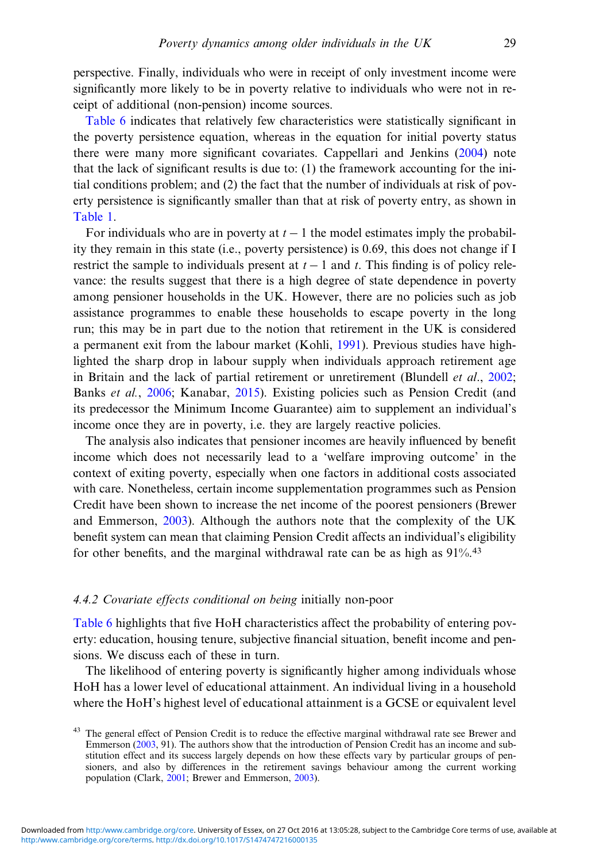perspective. Finally, individuals who were in receipt of only investment income were significantly more likely to be in poverty relative to individuals who were not in receipt of additional (non-pension) income sources.

[Table 6](#page-26-0) indicates that relatively few characteristics were statistically significant in the poverty persistence equation, whereas in the equation for initial poverty status there were many more significant covariates. Cappellari and Jenkins ([2004\)](#page-41-0) note that the lack of significant results is due to: (1) the framework accounting for the initial conditions problem; and (2) the fact that the number of individuals at risk of poverty persistence is significantly smaller than that at risk of poverty entry, as shown in [Table 1.](#page-10-0)

For individuals who are in poverty at  $t - 1$  the model estimates imply the probability they remain in this state (i.e., poverty persistence) is 0.69, this does not change if I restrict the sample to individuals present at  $t - 1$  and t. This finding is of policy relevance: the results suggest that there is a high degree of state dependence in poverty among pensioner households in the UK. However, there are no policies such as job assistance programmes to enable these households to escape poverty in the long run; this may be in part due to the notion that retirement in the UK is considered a permanent exit from the labour market (Kohli, [1991\)](#page-42-0). Previous studies have highlighted the sharp drop in labour supply when individuals approach retirement age in Britain and the lack of partial retirement or unretirement (Blundell *et al.*, [2002;](#page-40-0) Banks et al., [2006](#page-40-0); Kanabar, [2015](#page-42-0)). Existing policies such as Pension Credit (and its predecessor the Minimum Income Guarantee) aim to supplement an individual's income once they are in poverty, i.e. they are largely reactive policies.

The analysis also indicates that pensioner incomes are heavily influenced by benefit income which does not necessarily lead to a 'welfare improving outcome' in the context of exiting poverty, especially when one factors in additional costs associated with care. Nonetheless, certain income supplementation programmes such as Pension Credit have been shown to increase the net income of the poorest pensioners (Brewer and Emmerson, [2003\)](#page-40-0). Although the authors note that the complexity of the UK benefit system can mean that claiming Pension Credit affects an individual's eligibility for other benefits, and the marginal withdrawal rate can be as high as  $91\%$ .<sup>43</sup>

# 4.4.2 Covariate effects conditional on being initially non-poor

[Table 6](#page-26-0) highlights that five HoH characteristics affect the probability of entering poverty: education, housing tenure, subjective financial situation, benefit income and pensions. We discuss each of these in turn.

The likelihood of entering poverty is significantly higher among individuals whose HoH has a lower level of educational attainment. An individual living in a household where the HoH's highest level of educational attainment is a GCSE or equivalent level

<sup>&</sup>lt;sup>43</sup> The general effect of Pension Credit is to reduce the effective marginal withdrawal rate see Brewer and Emmerson ([2003,](#page-40-0) 91). The authors show that the introduction of Pension Credit has an income and substitution effect and its success largely depends on how these effects vary by particular groups of pensioners, and also by differences in the retirement savings behaviour among the current working population (Clark, [2001](#page-41-0); Brewer and Emmerson, [2003](#page-40-0)).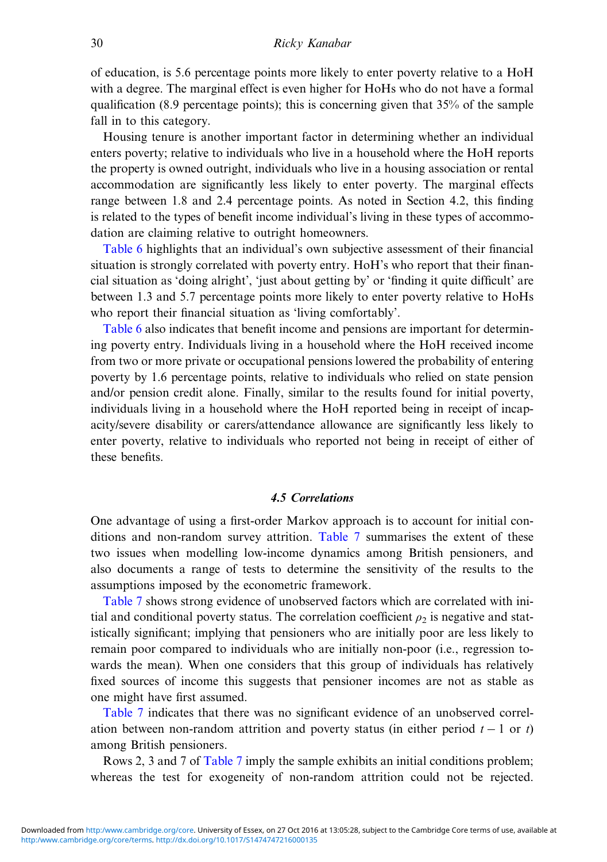of education, is 5.6 percentage points more likely to enter poverty relative to a HoH with a degree. The marginal effect is even higher for HoHs who do not have a formal qualification (8.9 percentage points); this is concerning given that  $35%$  of the sample fall in to this category.

Housing tenure is another important factor in determining whether an individual enters poverty; relative to individuals who live in a household where the HoH reports the property is owned outright, individuals who live in a housing association or rental accommodation are significantly less likely to enter poverty. The marginal effects range between 1.8 and 2.4 percentage points. As noted in Section 4.2, this finding is related to the types of benefit income individual's living in these types of accommodation are claiming relative to outright homeowners.

[Table 6](#page-26-0) highlights that an individual's own subjective assessment of their financial situation is strongly correlated with poverty entry. HoH's who report that their financial situation as 'doing alright', 'just about getting by' or 'finding it quite difficult' are between 1.3 and 5.7 percentage points more likely to enter poverty relative to HoHs who report their financial situation as 'living comfortably'.

[Table 6](#page-26-0) also indicates that benefit income and pensions are important for determining poverty entry. Individuals living in a household where the HoH received income from two or more private or occupational pensions lowered the probability of entering poverty by 1.6 percentage points, relative to individuals who relied on state pension and/or pension credit alone. Finally, similar to the results found for initial poverty, individuals living in a household where the HoH reported being in receipt of incapacity/severe disability or carers/attendance allowance are significantly less likely to enter poverty, relative to individuals who reported not being in receipt of either of these benefits.

# 4.5 Correlations

One advantage of using a first-order Markov approach is to account for initial conditions and non-random survey attrition. [Table 7](#page-30-0) summarises the extent of these two issues when modelling low-income dynamics among British pensioners, and also documents a range of tests to determine the sensitivity of the results to the assumptions imposed by the econometric framework.

[Table 7](#page-30-0) shows strong evidence of unobserved factors which are correlated with initial and conditional poverty status. The correlation coefficient  $\rho_2$  is negative and statistically significant; implying that pensioners who are initially poor are less likely to remain poor compared to individuals who are initially non-poor (i.e., regression towards the mean). When one considers that this group of individuals has relatively fixed sources of income this suggests that pensioner incomes are not as stable as one might have first assumed.

[Table 7](#page-30-0) indicates that there was no significant evidence of an unobserved correlation between non-random attrition and poverty status (in either period  $t - 1$  or t) among British pensioners.

Rows 2, 3 and 7 of [Table 7](#page-30-0) imply the sample exhibits an initial conditions problem; whereas the test for exogeneity of non-random attrition could not be rejected.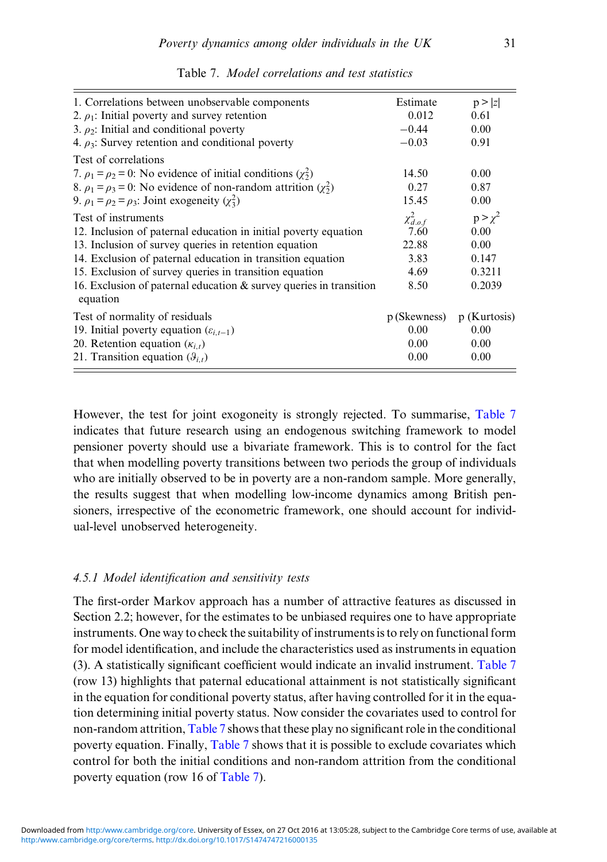<span id="page-30-0"></span>

| 1. Correlations between unobservable components                                   | Estimate         | p >  z         |
|-----------------------------------------------------------------------------------|------------------|----------------|
| 2. $\rho_1$ : Initial poverty and survey retention                                | 0.012            | 0.61           |
| 3. $\rho_2$ : Initial and conditional poverty                                     | $-0.44$          | 0.00           |
| 4. $\rho_3$ : Survey retention and conditional poverty                            | $-0.03$          | 0.91           |
| Test of correlations                                                              |                  |                |
| 7. $\rho_1 = \rho_2 = 0$ : No evidence of initial conditions $(\chi^2)$           | 14.50            | 0.00           |
| 8. $\rho_1 = \rho_3 = 0$ : No evidence of non-random attrition $(\chi^2)$         | 0.27             | 0.87           |
| 9. $\rho_1 = \rho_2 = \rho_3$ : Joint exogeneity ( $\chi^2$ )                     | 15.45            | 0.00           |
| Test of instruments                                                               | $\chi^2_{d.o.f}$ | $p > \chi^2$   |
| 12. Inclusion of paternal education in initial poverty equation                   | 7.60             | 0.00           |
| 13. Inclusion of survey queries in retention equation                             | 22.88            | 0.00           |
| 14. Exclusion of paternal education in transition equation                        | 3.83             | 0.147          |
| 15. Exclusion of survey queries in transition equation                            | 4.69             | 0.3211         |
| 16. Exclusion of paternal education $\&$ survey queries in transition<br>equation | 8.50             | 0.2039         |
| Test of normality of residuals                                                    | p (Skewness)     | $p$ (Kurtosis) |
| 19. Initial poverty equation $(\varepsilon_{i,t-1})$                              | 0.00             | 0.00           |
| 20. Retention equation $(\kappa_{i,t})$                                           | 0.00             | 0.00           |
| 21. Transition equation $(\vartheta_{i,t})$                                       | 0.00             | 0.00           |

Table 7. Model correlations and test statistics

However, the test for joint exogoneity is strongly rejected. To summarise, Table 7 indicates that future research using an endogenous switching framework to model pensioner poverty should use a bivariate framework. This is to control for the fact that when modelling poverty transitions between two periods the group of individuals who are initially observed to be in poverty are a non-random sample. More generally, the results suggest that when modelling low-income dynamics among British pensioners, irrespective of the econometric framework, one should account for individual-level unobserved heterogeneity.

# 4.5.1 Model identification and sensitivity tests

The first-order Markov approach has a number of attractive features as discussed in Section 2.2; however, for the estimates to be unbiased requires one to have appropriate instruments. One way to check the suitability of instruments is to rely on functional form for model identification, and include the characteristics used as instruments in equation (3). A statistically significant coefficient would indicate an invalid instrument. Table 7 (row 13) highlights that paternal educational attainment is not statistically significant in the equation for conditional poverty status, after having controlled for it in the equation determining initial poverty status. Now consider the covariates used to control for non-random attrition, Table 7 shows that these play no significant role in the conditional poverty equation. Finally, Table 7 shows that it is possible to exclude covariates which control for both the initial conditions and non-random attrition from the conditional poverty equation (row 16 of Table 7).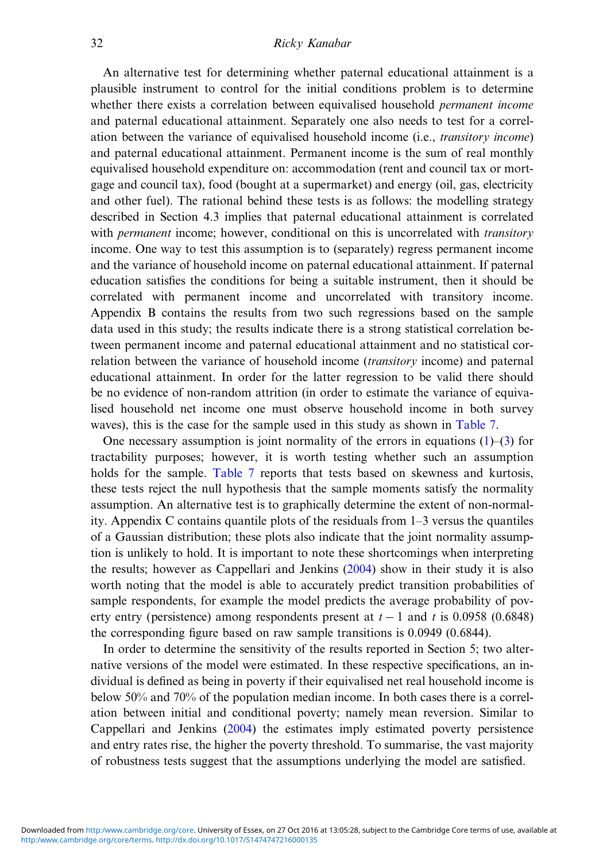An alternative test for determining whether paternal educational attainment is a plausible instrument to control for the initial conditions problem is to determine whether there exists a correlation between equivalised household *permanent income* and paternal educational attainment. Separately one also needs to test for a correlation between the variance of equivalised household income (i.e., transitory income) and paternal educational attainment. Permanent income is the sum of real monthly equivalised household expenditure on: accommodation (rent and council tax or mortgage and council tax), food (bought at a supermarket) and energy (oil, gas, electricity and other fuel). The rational behind these tests is as follows: the modelling strategy described in Section 4.3 implies that paternal educational attainment is correlated with *permanent* income; however, conditional on this is uncorrelated with *transitory* income. One way to test this assumption is to (separately) regress permanent income and the variance of household income on paternal educational attainment. If paternal education satisfies the conditions for being a suitable instrument, then it should be correlated with permanent income and uncorrelated with transitory income. Appendix B contains the results from two such regressions based on the sample data used in this study; the results indicate there is a strong statistical correlation between permanent income and paternal educational attainment and no statistical correlation between the variance of household income *(transitory income)* and paternal educational attainment. In order for the latter regression to be valid there should be no evidence of non-random attrition (in order to estimate the variance of equivalised household net income one must observe household income in both survey waves), this is the case for the sample used in this study as shown in [Table 7.](#page-30-0)

One necessary assumption is joint normality of the errors in equations  $(1)$  $(1)$ – $(3)$  $(3)$  for tractability purposes; however, it is worth testing whether such an assumption holds for the sample. [Table 7](#page-30-0) reports that tests based on skewness and kurtosis, these tests reject the null hypothesis that the sample moments satisfy the normality assumption. An alternative test is to graphically determine the extent of non-normality. Appendix C contains quantile plots of the residuals from 1–3 versus the quantiles of a Gaussian distribution; these plots also indicate that the joint normality assumption is unlikely to hold. It is important to note these shortcomings when interpreting the results; however as Cappellari and Jenkins [\(2004](#page-41-0)) show in their study it is also worth noting that the model is able to accurately predict transition probabilities of sample respondents, for example the model predicts the average probability of poverty entry (persistence) among respondents present at  $t - 1$  and t is 0.0958 (0.6848) the corresponding figure based on raw sample transitions is 0.0949 (0.6844).

In order to determine the sensitivity of the results reported in Section 5; two alternative versions of the model were estimated. In these respective specifications, an individual is defined as being in poverty if their equivalised net real household income is below 50% and 70% of the population median income. In both cases there is a correlation between initial and conditional poverty; namely mean reversion. Similar to Cappellari and Jenkins ([2004\)](#page-41-0) the estimates imply estimated poverty persistence and entry rates rise, the higher the poverty threshold. To summarise, the vast majority of robustness tests suggest that the assumptions underlying the model are satisfied.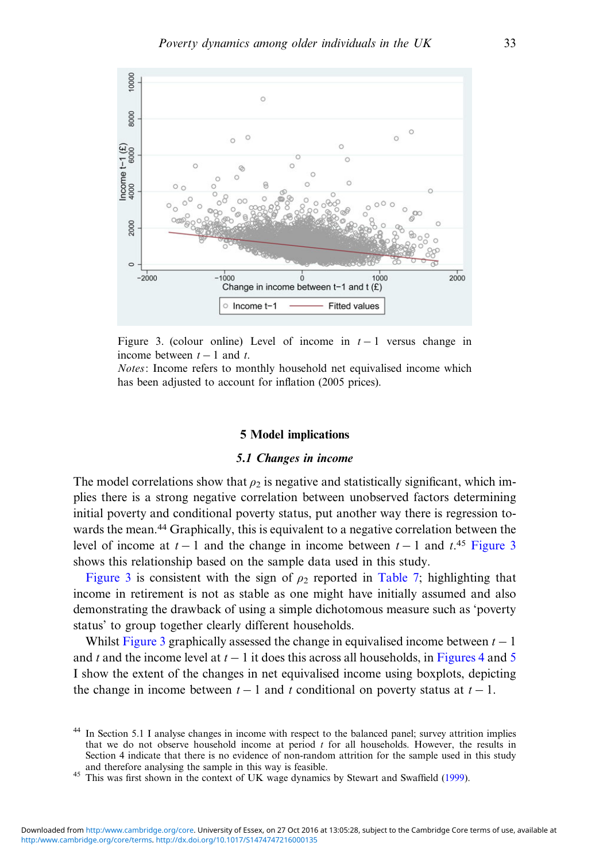<span id="page-32-0"></span>

Figure 3. (colour online) Level of income in  $t-1$  versus change in income between  $t - 1$  and t.

Notes: Income refers to monthly household net equivalised income which has been adjusted to account for inflation (2005 prices).

# 5 Model implications

# 5.1 Changes in income

The model correlations show that  $\rho_2$  is negative and statistically significant, which implies there is a strong negative correlation between unobserved factors determining initial poverty and conditional poverty status, put another way there is regression towards the mean.<sup>44</sup> Graphically, this is equivalent to a negative correlation between the level of income at  $t - 1$  and the change in income between  $t - 1$  and  $t^{\text{45}}$  Figure 3 shows this relationship based on the sample data used in this study.

Figure 3 is consistent with the sign of  $\rho_2$  reported in [Table 7;](#page-30-0) highlighting that income in retirement is not as stable as one might have initially assumed and also demonstrating the drawback of using a simple dichotomous measure such as 'poverty status' to group together clearly different households.

Whilst Figure 3 graphically assessed the change in equivalised income between  $t - 1$ and t and the income level at  $t - 1$  it does this across all households, in [Figures 4](#page-33-0) and [5](#page-34-0) I show the extent of the changes in net equivalised income using boxplots, depicting the change in income between  $t - 1$  and t conditional on poverty status at  $t - 1$ .

<sup>&</sup>lt;sup>44</sup> In Section 5.1 I analyse changes in income with respect to the balanced panel; survey attrition implies that we do not observe household income at period  $t$  for all households. However, the results in Section 4 indicate that there is no evidence of non-random attrition for the sample used in this study and therefore analysing the sample in this way is feasible.

<sup>&</sup>lt;sup>45</sup> This was first shown in the context of UK wage dynamics by Stewart and Swaffield ([1999\)](#page-42-0).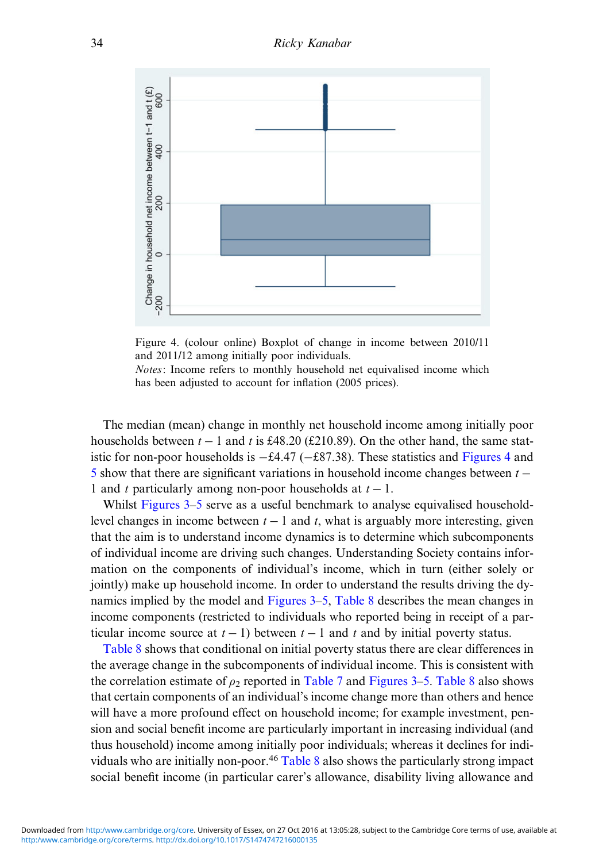<span id="page-33-0"></span>

Figure 4. (colour online) Boxplot of change in income between 2010/11 and 2011/12 among initially poor individuals.

Notes: Income refers to monthly household net equivalised income which has been adjusted to account for inflation (2005 prices).

The median (mean) change in monthly net household income among initially poor households between  $t - 1$  and t is £48.20 (£210.89). On the other hand, the same statistic for non-poor households is −£4.47 (−£87.38). These statistics and Figures 4 and [5](#page-34-0) show that there are significant variations in household income changes between  $t -$ 1 and t particularly among non-poor households at  $t - 1$ .

Whilst [Figures 3](#page-32-0)–[5](#page-34-0) serve as a useful benchmark to analyse equivalised householdlevel changes in income between  $t - 1$  and t, what is arguably more interesting, given that the aim is to understand income dynamics is to determine which subcomponents of individual income are driving such changes. Understanding Society contains information on the components of individual's income, which in turn (either solely or jointly) make up household income. In order to understand the results driving the dynamics implied by the model and [Figures 3](#page-32-0)–[5,](#page-34-0) [Table 8](#page-35-0) describes the mean changes in income components (restricted to individuals who reported being in receipt of a particular income source at  $t - 1$ ) between  $t - 1$  and t and by initial poverty status.

[Table 8](#page-35-0) shows that conditional on initial poverty status there are clear differences in the average change in the subcomponents of individual income. This is consistent with the correlation estimate of  $\rho_2$  reported in [Table 7](#page-30-0) and [Figures 3](#page-32-0)–[5](#page-34-0). [Table 8](#page-35-0) also shows that certain components of an individual's income change more than others and hence will have a more profound effect on household income; for example investment, pension and social benefit income are particularly important in increasing individual (and thus household) income among initially poor individuals; whereas it declines for individuals who are initially non-poor.<sup>46</sup> [Table 8](#page-35-0) also shows the particularly strong impact social benefit income (in particular carer's allowance, disability living allowance and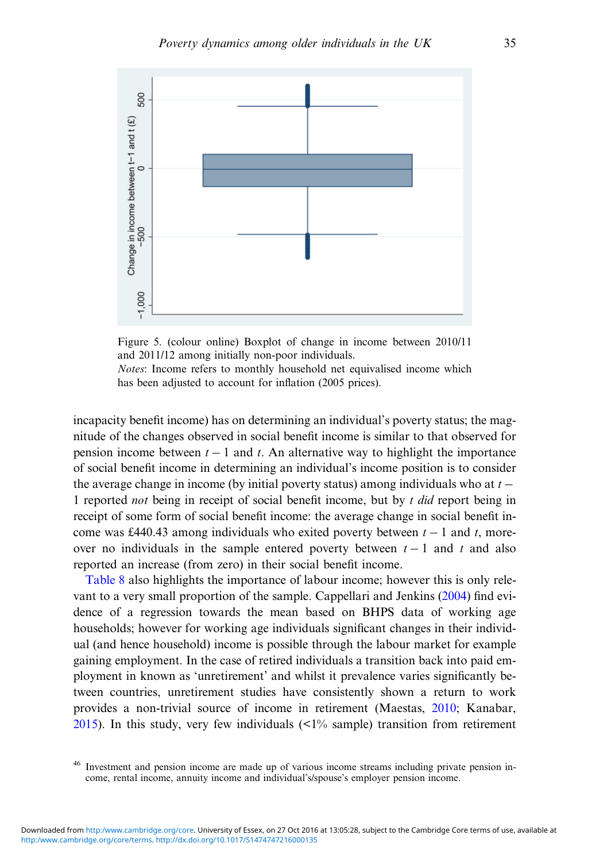<span id="page-34-0"></span>

Figure 5. (colour online) Boxplot of change in income between 2010/11 and 2011/12 among initially non-poor individuals. Notes: Income refers to monthly household net equivalised income which

has been adjusted to account for inflation (2005 prices).

incapacity benefit income) has on determining an individual's poverty status; the magnitude of the changes observed in social benefit income is similar to that observed for pension income between  $t - 1$  and t. An alternative way to highlight the importance of social benefit income in determining an individual's income position is to consider the average change in income (by initial poverty status) among individuals who at  $t -$ 1 reported *not* being in receipt of social benefit income, but by t did report being in receipt of some form of social benefit income: the average change in social benefit income was £440.43 among individuals who exited poverty between  $t - 1$  and t, moreover no individuals in the sample entered poverty between  $t - 1$  and t and also reported an increase (from zero) in their social benefit income.

[Table 8](#page-35-0) also highlights the importance of labour income; however this is only relevant to a very small proportion of the sample. Cappellari and Jenkins [\(2004](#page-41-0)) find evidence of a regression towards the mean based on BHPS data of working age households; however for working age individuals significant changes in their individual (and hence household) income is possible through the labour market for example gaining employment. In the case of retired individuals a transition back into paid employment in known as 'unretirement' and whilst it prevalence varies significantly between countries, unretirement studies have consistently shown a return to work provides a non-trivial source of income in retirement (Maestas, [2010;](#page-42-0) Kanabar, [2015\)](#page-42-0). In this study, very few individuals  $\langle 51\% \text{ sample} \rangle$  transition from retirement

<sup>46</sup> Investment and pension income are made up of various income streams including private pension income, rental income, annuity income and individual's/spouse's employer pension income.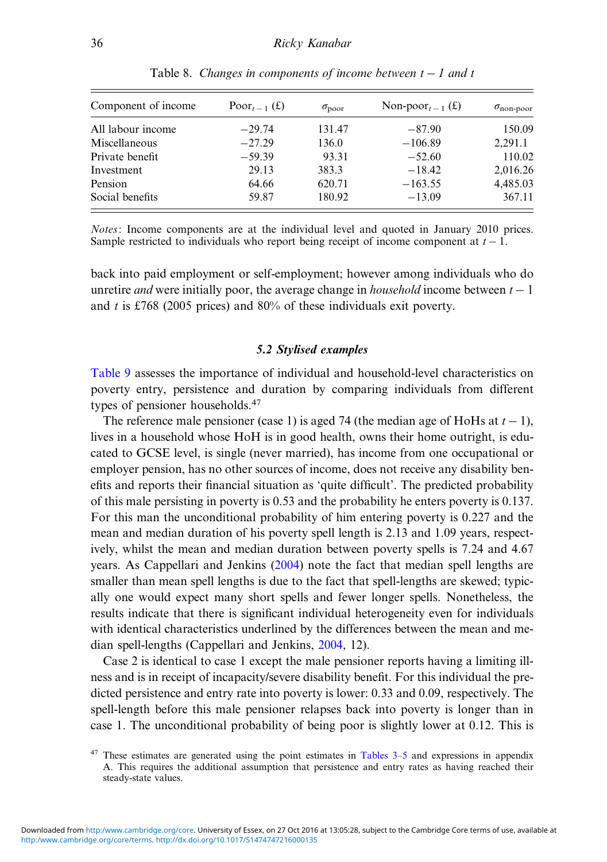<span id="page-35-0"></span>

| Component of income | Poor <sub><math>t-1</math></sub> $(f)$ | $\sigma_{\text{poor}}$ | Non-poor <sub><math>t-1</math></sub> $(\text{\pounds})$ | $\sigma_{\text{non-poor}}$ |
|---------------------|----------------------------------------|------------------------|---------------------------------------------------------|----------------------------|
| All labour income   | $-29.74$                               | 131.47                 | $-87.90$                                                | 150.09                     |
| Miscellaneous       | $-27.29$                               | 136.0                  | $-106.89$                                               | 2.291.1                    |
| Private benefit     | $-59.39$                               | 93.31                  | $-52.60$                                                | 110.02                     |
| Investment          | 29.13                                  | 383.3                  | $-18.42$                                                | 2,016.26                   |
| Pension             | 64.66                                  | 620.71                 | $-163.55$                                               | 4,485.03                   |
| Social benefits     | 59.87                                  | 180.92                 | $-13.09$                                                | 367.11                     |

Table 8. Changes in components of income between  $t - 1$  and t

Notes: Income components are at the individual level and quoted in January 2010 prices. Sample restricted to individuals who report being receipt of income component at  $t - 1$ .

back into paid employment or self-employment; however among individuals who do unretire *and* were initially poor, the average change in *household* income between  $t - 1$ and t is £768 (2005 prices) and  $80\%$  of these individuals exit poverty.

# 5.2 Stylised examples

[Table 9](#page-36-0) assesses the importance of individual and household-level characteristics on poverty entry, persistence and duration by comparing individuals from different types of pensioner households.<sup>47</sup>

The reference male pensioner (case 1) is aged 74 (the median age of HoHs at  $t - 1$ ), lives in a household whose HoH is in good health, owns their home outright, is educated to GCSE level, is single (never married), has income from one occupational or employer pension, has no other sources of income, does not receive any disability benefits and reports their financial situation as 'quite difficult'. The predicted probability of this male persisting in poverty is 0.53 and the probability he enters poverty is 0.137. For this man the unconditional probability of him entering poverty is 0.227 and the mean and median duration of his poverty spell length is 2.13 and 1.09 years, respectively, whilst the mean and median duration between poverty spells is 7.24 and 4.67 years. As Cappellari and Jenkins [\(2004](#page-41-0)) note the fact that median spell lengths are smaller than mean spell lengths is due to the fact that spell-lengths are skewed; typically one would expect many short spells and fewer longer spells. Nonetheless, the results indicate that there is significant individual heterogeneity even for individuals with identical characteristics underlined by the differences between the mean and median spell-lengths (Cappellari and Jenkins, [2004,](#page-41-0) 12).

Case 2 is identical to case 1 except the male pensioner reports having a limiting illness and is in receipt of incapacity/severe disability benefit. For this individual the predicted persistence and entry rate into poverty is lower: 0.33 and 0.09, respectively. The spell-length before this male pensioner relapses back into poverty is longer than in case 1. The unconditional probability of being poor is slightly lower at 0.12. This is

 $47$  These estimates are generated using the point estimates in Tables  $3-5$  $3-5$  and expressions in appendix A. This requires the additional assumption that persistence and entry rates as having reached their steady-state values.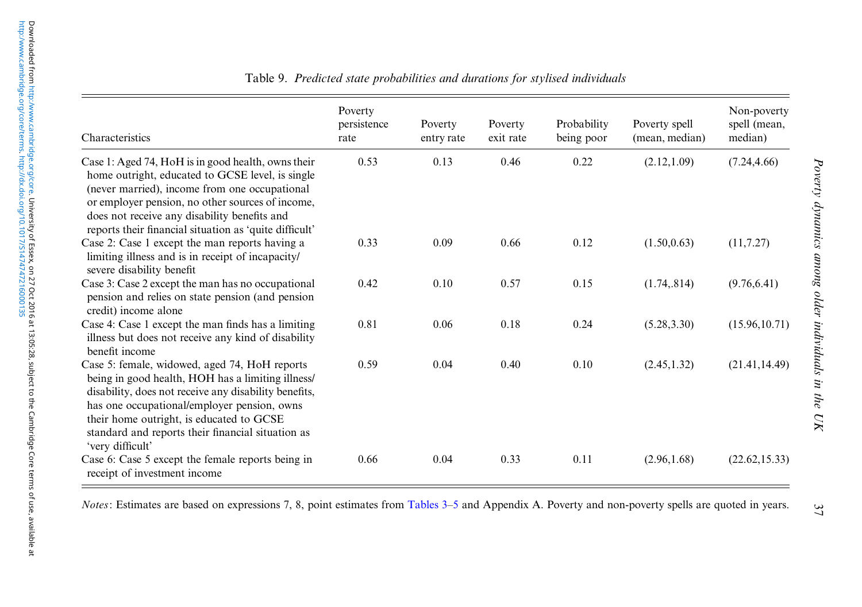<span id="page-36-0"></span>

| Characteristics                                                                                                                                                                                                                                                                                                                 | Poverty<br>persistence<br>rate | Poverty<br>entry rate | Poverty<br>exit rate | Probability<br>being poor | Poverty spell<br>(mean, median) | Non-poverty<br>spell (mean,<br>median) |
|---------------------------------------------------------------------------------------------------------------------------------------------------------------------------------------------------------------------------------------------------------------------------------------------------------------------------------|--------------------------------|-----------------------|----------------------|---------------------------|---------------------------------|----------------------------------------|
| Case 1: Aged 74, HoH is in good health, owns their<br>home outright, educated to GCSE level, is single<br>(never married), income from one occupational<br>or employer pension, no other sources of income,<br>does not receive any disability benefits and<br>reports their financial situation as 'quite difficult'           | 0.53                           | 0.13                  | 0.46                 | 0.22                      | (2.12, 1.09)                    | (7.24, 4.66)                           |
| Case 2: Case 1 except the man reports having a<br>limiting illness and is in receipt of incapacity/<br>severe disability benefit                                                                                                                                                                                                | 0.33                           | 0.09                  | 0.66                 | 0.12                      | (1.50, 0.63)                    | (11, 7.27)                             |
| Case 3: Case 2 except the man has no occupational<br>pension and relies on state pension (and pension<br>credit) income alone                                                                                                                                                                                                   | 0.42                           | 0.10                  | 0.57                 | 0.15                      | (1.74, .814)                    | (9.76, 6.41)                           |
| Case 4: Case 1 except the man finds has a limiting<br>illness but does not receive any kind of disability<br>benefit income                                                                                                                                                                                                     | 0.81                           | 0.06                  | 0.18                 | 0.24                      | (5.28, 3.30)                    | (15.96, 10.71)                         |
| Case 5: female, widowed, aged 74, HoH reports<br>being in good health, HOH has a limiting illness/<br>disability, does not receive any disability benefits,<br>has one occupational/employer pension, owns<br>their home outright, is educated to GCSE<br>standard and reports their financial situation as<br>'very difficult' | 0.59                           | 0.04                  | 0.40                 | 0.10                      | (2.45, 1.32)                    | (21.41, 14.49)                         |
| Case 6: Case 5 except the female reports being in<br>receipt of investment income                                                                                                                                                                                                                                               | 0.66                           | 0.04                  | 0.33                 | 0.11                      | (2.96, 1.68)                    | (22.62, 15.33)                         |

Table 9. Predicted state probabilities and durations for stylised individuals

*Notes*: Estimates are based on expressions 7, 8, point estimates from [Tables](#page-15-0) 3–[5](#page-24-0) and Appendix A. Poverty and non-poverty spells are quoted in years.

37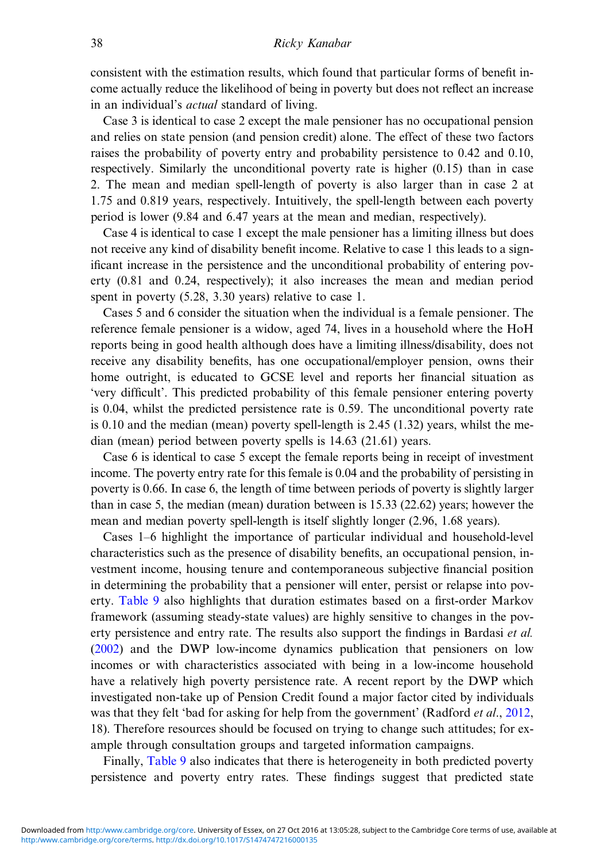consistent with the estimation results, which found that particular forms of benefit income actually reduce the likelihood of being in poverty but does not reflect an increase in an individual's actual standard of living.

Case 3 is identical to case 2 except the male pensioner has no occupational pension and relies on state pension (and pension credit) alone. The effect of these two factors raises the probability of poverty entry and probability persistence to 0.42 and 0.10, respectively. Similarly the unconditional poverty rate is higher (0.15) than in case 2. The mean and median spell-length of poverty is also larger than in case 2 at 1.75 and 0.819 years, respectively. Intuitively, the spell-length between each poverty period is lower (9.84 and 6.47 years at the mean and median, respectively).

Case 4 is identical to case 1 except the male pensioner has a limiting illness but does not receive any kind of disability benefit income. Relative to case 1 this leads to a significant increase in the persistence and the unconditional probability of entering poverty (0.81 and 0.24, respectively); it also increases the mean and median period spent in poverty (5.28, 3.30 years) relative to case 1.

Cases 5 and 6 consider the situation when the individual is a female pensioner. The reference female pensioner is a widow, aged 74, lives in a household where the HoH reports being in good health although does have a limiting illness/disability, does not receive any disability benefits, has one occupational/employer pension, owns their home outright, is educated to GCSE level and reports her financial situation as 'very difficult'. This predicted probability of this female pensioner entering poverty is 0.04, whilst the predicted persistence rate is 0.59. The unconditional poverty rate is 0.10 and the median (mean) poverty spell-length is 2.45  $(1.32)$  years, whilst the median (mean) period between poverty spells is 14.63 (21.61) years.

Case 6 is identical to case 5 except the female reports being in receipt of investment income. The poverty entry rate for this female is 0.04 and the probability of persisting in poverty is 0.66. In case 6, the length of time between periods of poverty is slightly larger than in case 5, the median (mean) duration between is 15.33 (22.62) years; however the mean and median poverty spell-length is itself slightly longer (2.96, 1.68 years).

Cases 1–6 highlight the importance of particular individual and household-level characteristics such as the presence of disability benefits, an occupational pension, investment income, housing tenure and contemporaneous subjective financial position in determining the probability that a pensioner will enter, persist or relapse into poverty. [Table 9](#page-36-0) also highlights that duration estimates based on a first-order Markov framework (assuming steady-state values) are highly sensitive to changes in the poverty persistence and entry rate. The results also support the findings in Bardasi *et al.* ([2002\)](#page-40-0) and the DWP low-income dynamics publication that pensioners on low incomes or with characteristics associated with being in a low-income household have a relatively high poverty persistence rate. A recent report by the DWP which investigated non-take up of Pension Credit found a major factor cited by individuals was that they felt 'bad for asking for help from the government' (Radford *et al.*, [2012,](#page-42-0) 18). Therefore resources should be focused on trying to change such attitudes; for example through consultation groups and targeted information campaigns.

Finally, [Table 9](#page-36-0) also indicates that there is heterogeneity in both predicted poverty persistence and poverty entry rates. These findings suggest that predicted state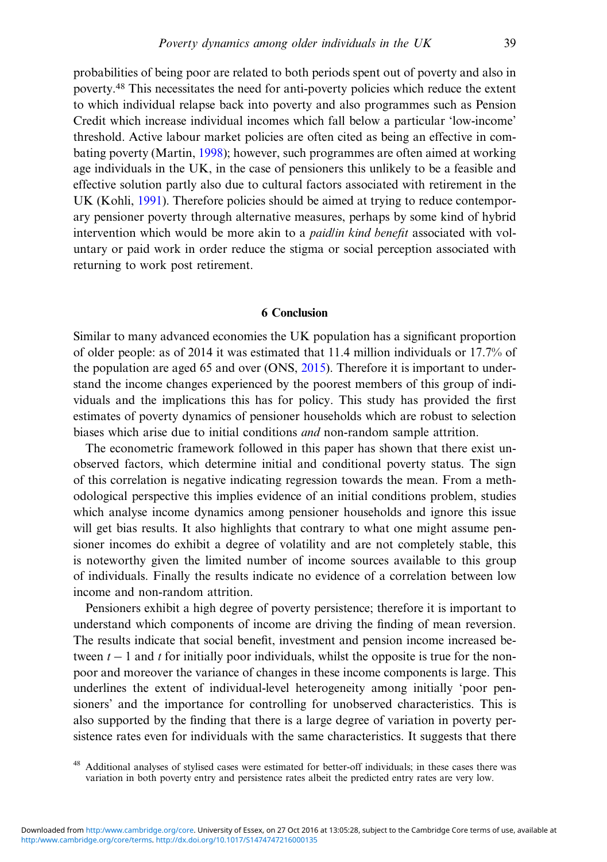probabilities of being poor are related to both periods spent out of poverty and also in poverty.<sup>48</sup> This necessitates the need for anti-poverty policies which reduce the extent to which individual relapse back into poverty and also programmes such as Pension Credit which increase individual incomes which fall below a particular 'low-income' threshold. Active labour market policies are often cited as being an effective in combating poverty (Martin, [1998](#page-42-0)); however, such programmes are often aimed at working age individuals in the UK, in the case of pensioners this unlikely to be a feasible and effective solution partly also due to cultural factors associated with retirement in the UK (Kohli, [1991\)](#page-42-0). Therefore policies should be aimed at trying to reduce contemporary pensioner poverty through alternative measures, perhaps by some kind of hybrid intervention which would be more akin to a paid/in kind benefit associated with voluntary or paid work in order reduce the stigma or social perception associated with returning to work post retirement.

# 6 Conclusion

Similar to many advanced economies the UK population has a significant proportion of older people: as of 2014 it was estimated that 11.4 million individuals or 17.7% of the population are aged 65 and over (ONS, [2015\)](#page-42-0). Therefore it is important to understand the income changes experienced by the poorest members of this group of individuals and the implications this has for policy. This study has provided the first estimates of poverty dynamics of pensioner households which are robust to selection biases which arise due to initial conditions and non-random sample attrition.

The econometric framework followed in this paper has shown that there exist unobserved factors, which determine initial and conditional poverty status. The sign of this correlation is negative indicating regression towards the mean. From a methodological perspective this implies evidence of an initial conditions problem, studies which analyse income dynamics among pensioner households and ignore this issue will get bias results. It also highlights that contrary to what one might assume pensioner incomes do exhibit a degree of volatility and are not completely stable, this is noteworthy given the limited number of income sources available to this group of individuals. Finally the results indicate no evidence of a correlation between low income and non-random attrition.

Pensioners exhibit a high degree of poverty persistence; therefore it is important to understand which components of income are driving the finding of mean reversion. The results indicate that social benefit, investment and pension income increased between  $t - 1$  and t for initially poor individuals, whilst the opposite is true for the nonpoor and moreover the variance of changes in these income components is large. This underlines the extent of individual-level heterogeneity among initially 'poor pensioners' and the importance for controlling for unobserved characteristics. This is also supported by the finding that there is a large degree of variation in poverty persistence rates even for individuals with the same characteristics. It suggests that there

<sup>48</sup> Additional analyses of stylised cases were estimated for better-off individuals; in these cases there was variation in both poverty entry and persistence rates albeit the predicted entry rates are very low.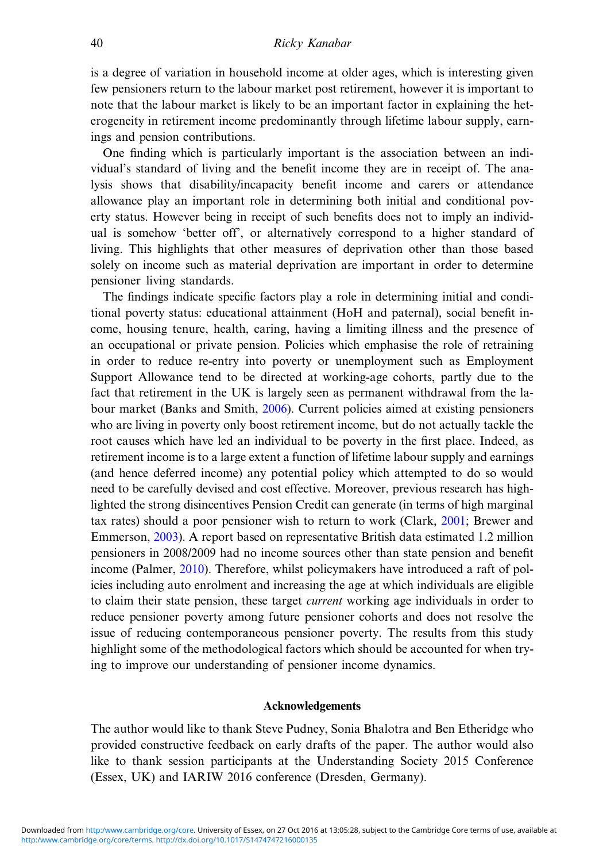is a degree of variation in household income at older ages, which is interesting given few pensioners return to the labour market post retirement, however it is important to note that the labour market is likely to be an important factor in explaining the heterogeneity in retirement income predominantly through lifetime labour supply, earnings and pension contributions.

One finding which is particularly important is the association between an individual's standard of living and the benefit income they are in receipt of. The analysis shows that disability/incapacity benefit income and carers or attendance allowance play an important role in determining both initial and conditional poverty status. However being in receipt of such benefits does not to imply an individual is somehow 'better off', or alternatively correspond to a higher standard of living. This highlights that other measures of deprivation other than those based solely on income such as material deprivation are important in order to determine pensioner living standards.

The findings indicate specific factors play a role in determining initial and conditional poverty status: educational attainment (HoH and paternal), social benefit income, housing tenure, health, caring, having a limiting illness and the presence of an occupational or private pension. Policies which emphasise the role of retraining in order to reduce re-entry into poverty or unemployment such as Employment Support Allowance tend to be directed at working-age cohorts, partly due to the fact that retirement in the UK is largely seen as permanent withdrawal from the labour market (Banks and Smith, [2006](#page-40-0)). Current policies aimed at existing pensioners who are living in poverty only boost retirement income, but do not actually tackle the root causes which have led an individual to be poverty in the first place. Indeed, as retirement income is to a large extent a function of lifetime labour supply and earnings (and hence deferred income) any potential policy which attempted to do so would need to be carefully devised and cost effective. Moreover, previous research has highlighted the strong disincentives Pension Credit can generate (in terms of high marginal tax rates) should a poor pensioner wish to return to work (Clark, [2001;](#page-41-0) Brewer and Emmerson, [2003\)](#page-40-0). A report based on representative British data estimated 1.2 million pensioners in 2008/2009 had no income sources other than state pension and benefit income (Palmer, [2010\)](#page-42-0). Therefore, whilst policymakers have introduced a raft of policies including auto enrolment and increasing the age at which individuals are eligible to claim their state pension, these target *current* working age individuals in order to reduce pensioner poverty among future pensioner cohorts and does not resolve the issue of reducing contemporaneous pensioner poverty. The results from this study highlight some of the methodological factors which should be accounted for when trying to improve our understanding of pensioner income dynamics.

# Acknowledgements

The author would like to thank Steve Pudney, Sonia Bhalotra and Ben Etheridge who provided constructive feedback on early drafts of the paper. The author would also like to thank session participants at the Understanding Society 2015 Conference (Essex, UK) and IARIW 2016 conference (Dresden, Germany).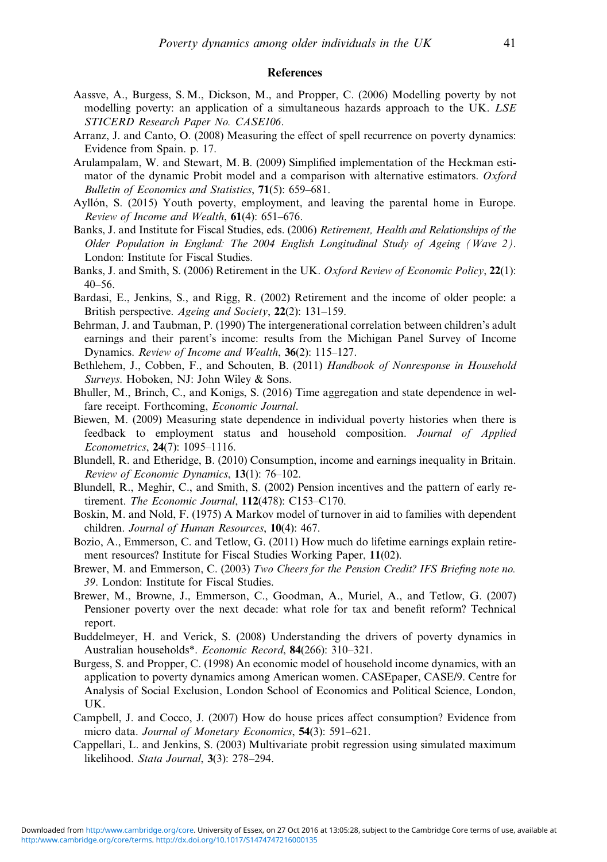# **References**

- <span id="page-40-0"></span>Aassve, A., Burgess, S. M., Dickson, M., and Propper, C. (2006) Modelling poverty by not modelling poverty: an application of a simultaneous hazards approach to the UK. LSE STICERD Research Paper No. CASE106.
- Arranz, J. and Canto, O. (2008) Measuring the effect of spell recurrence on poverty dynamics: Evidence from Spain. p. 17.
- Arulampalam, W. and Stewart, M. B. (2009) Simplified implementation of the Heckman estimator of the dynamic Probit model and a comparison with alternative estimators. Oxford Bulletin of Economics and Statistics, 71(5): 659–681.
- Ayllón, S. (2015) Youth poverty, employment, and leaving the parental home in Europe. Review of Income and Wealth, 61(4): 651-676.
- Banks, J. and Institute for Fiscal Studies, eds. (2006) Retirement, Health and Relationships of the Older Population in England: The 2004 English Longitudinal Study of Ageing (Wave 2). London: Institute for Fiscal Studies.
- Banks, J. and Smith, S. (2006) Retirement in the UK. Oxford Review of Economic Policy, 22(1): 40–56.
- Bardasi, E., Jenkins, S., and Rigg, R. (2002) Retirement and the income of older people: a British perspective. Ageing and Society, 22(2): 131–159.
- Behrman, J. and Taubman, P. (1990) The intergenerational correlation between children's adult earnings and their parent's income: results from the Michigan Panel Survey of Income Dynamics. Review of Income and Wealth, 36(2): 115-127.
- Bethlehem, J., Cobben, F., and Schouten, B. (2011) Handbook of Nonresponse in Household Surveys. Hoboken, NJ: John Wiley & Sons.
- Bhuller, M., Brinch, C., and Konigs, S. (2016) Time aggregation and state dependence in welfare receipt. Forthcoming, *Economic Journal*.
- Biewen, M. (2009) Measuring state dependence in individual poverty histories when there is feedback to employment status and household composition. Journal of Applied Econometrics, 24(7): 1095–1116.
- Blundell, R. and Etheridge, B. (2010) Consumption, income and earnings inequality in Britain. Review of Economic Dynamics, 13(1): 76–102.
- Blundell, R., Meghir, C., and Smith, S. (2002) Pension incentives and the pattern of early retirement. The Economic Journal, 112(478): C153-C170.
- Boskin, M. and Nold, F. (1975) A Markov model of turnover in aid to families with dependent children. Journal of Human Resources, 10(4): 467.
- Bozio, A., Emmerson, C. and Tetlow, G. (2011) How much do lifetime earnings explain retirement resources? Institute for Fiscal Studies Working Paper, 11(02).
- Brewer, M. and Emmerson, C. (2003) Two Cheers for the Pension Credit? IFS Briefing note no. 39. London: Institute for Fiscal Studies.
- Brewer, M., Browne, J., Emmerson, C., Goodman, A., Muriel, A., and Tetlow, G. (2007) Pensioner poverty over the next decade: what role for tax and benefit reform? Technical report.
- Buddelmeyer, H. and Verick, S. (2008) Understanding the drivers of poverty dynamics in Australian households\*. Economic Record, 84(266): 310-321.
- Burgess, S. and Propper, C. (1998) An economic model of household income dynamics, with an application to poverty dynamics among American women. CASEpaper, CASE/9. Centre for Analysis of Social Exclusion, London School of Economics and Political Science, London, UK.
- Campbell, J. and Cocco, J. (2007) How do house prices affect consumption? Evidence from micro data. Journal of Monetary Economics, 54(3): 591-621.
- Cappellari, L. and Jenkins, S. (2003) Multivariate probit regression using simulated maximum likelihood. Stata Journal, 3(3): 278–294.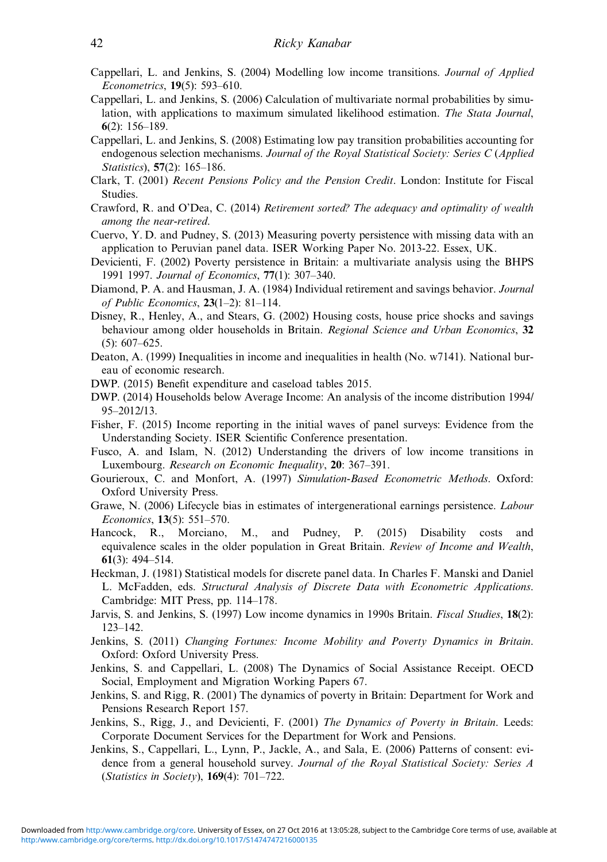- <span id="page-41-0"></span>Cappellari, L. and Jenkins, S. (2004) Modelling low income transitions. Journal of Applied Econometrics, 19(5): 593–610.
- Cappellari, L. and Jenkins, S. (2006) Calculation of multivariate normal probabilities by simulation, with applications to maximum simulated likelihood estimation. The Stata Journal, 6(2): 156–189.
- Cappellari, L. and Jenkins, S. (2008) Estimating low pay transition probabilities accounting for endogenous selection mechanisms. Journal of the Royal Statistical Society: Series C (Applied Statistics), 57(2): 165–186.
- Clark, T. (2001) Recent Pensions Policy and the Pension Credit. London: Institute for Fiscal Studies.
- Crawford, R. and O'Dea, C. (2014) Retirement sorted? The adequacy and optimality of wealth among the near-retired.
- Cuervo, Y. D. and Pudney, S. (2013) Measuring poverty persistence with missing data with an application to Peruvian panel data. ISER Working Paper No. 2013-22. Essex, UK.
- Devicienti, F. (2002) Poverty persistence in Britain: a multivariate analysis using the BHPS 1991 1997. Journal of Economics, 77(1): 307-340.
- Diamond, P. A. and Hausman, J. A. (1984) Individual retirement and savings behavior. Journal of Public Economics, 23(1–2): 81–114.
- Disney, R., Henley, A., and Stears, G. (2002) Housing costs, house price shocks and savings behaviour among older households in Britain. Regional Science and Urban Economics, 32 (5): 607–625.
- Deaton, A. (1999) Inequalities in income and inequalities in health (No. w7141). National bureau of economic research.
- DWP. (2015) Benefit expenditure and caseload tables 2015.
- DWP. (2014) Households below Average Income: An analysis of the income distribution 1994/ 95–2012/13.
- Fisher, F. (2015) Income reporting in the initial waves of panel surveys: Evidence from the Understanding Society. ISER Scientific Conference presentation.
- Fusco, A. and Islam, N. (2012) Understanding the drivers of low income transitions in Luxembourg. Research on Economic Inequality, 20: 367-391.
- Gourieroux, C. and Monfort, A. (1997) Simulation-Based Econometric Methods. Oxford: Oxford University Press.
- Grawe, N. (2006) Lifecycle bias in estimates of intergenerational earnings persistence. Labour Economics, 13(5): 551–570.
- Hancock, R., Morciano, M., and Pudney, P. (2015) Disability costs and equivalence scales in the older population in Great Britain. Review of Income and Wealth, 61(3): 494–514.
- Heckman, J. (1981) Statistical models for discrete panel data. In Charles F. Manski and Daniel L. McFadden, eds. Structural Analysis of Discrete Data with Econometric Applications. Cambridge: MIT Press, pp. 114–178.
- Jarvis, S. and Jenkins, S. (1997) Low income dynamics in 1990s Britain. Fiscal Studies, 18(2): 123–142.
- Jenkins, S. (2011) Changing Fortunes: Income Mobility and Poverty Dynamics in Britain. Oxford: Oxford University Press.
- Jenkins, S. and Cappellari, L. (2008) The Dynamics of Social Assistance Receipt. OECD Social, Employment and Migration Working Papers 67.
- Jenkins, S. and Rigg, R. (2001) The dynamics of poverty in Britain: Department for Work and Pensions Research Report 157.
- Jenkins, S., Rigg, J., and Devicienti, F. (2001) The Dynamics of Poverty in Britain. Leeds: Corporate Document Services for the Department for Work and Pensions.
- Jenkins, S., Cappellari, L., Lynn, P., Jackle, A., and Sala, E. (2006) Patterns of consent: evidence from a general household survey. Journal of the Royal Statistical Society: Series A (Statistics in Society), 169(4): 701–722.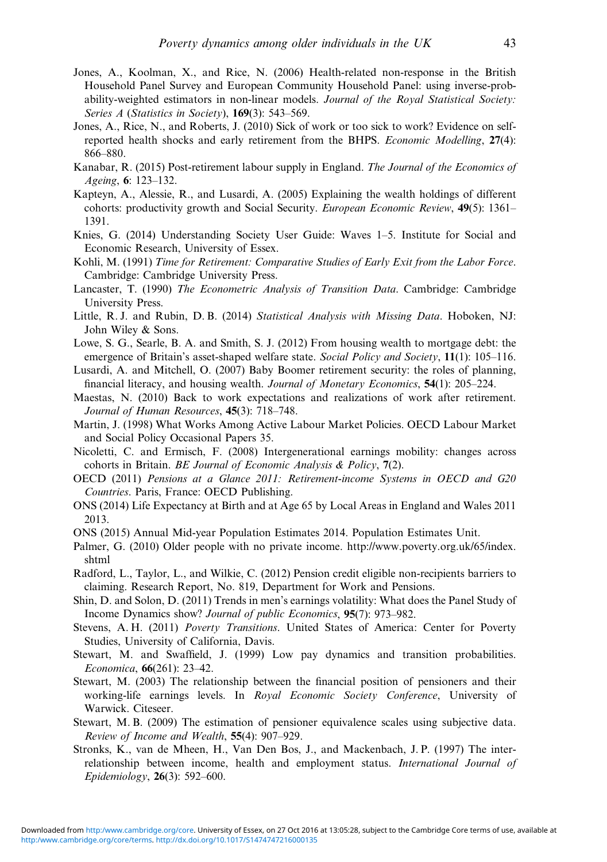- <span id="page-42-0"></span>Jones, A., Koolman, X., and Rice, N. (2006) Health-related non-response in the British Household Panel Survey and European Community Household Panel: using inverse-probability-weighted estimators in non-linear models. Journal of the Royal Statistical Society: Series A (Statistics in Society), 169(3): 543–569.
- Jones, A., Rice, N., and Roberts, J. (2010) Sick of work or too sick to work? Evidence on selfreported health shocks and early retirement from the BHPS. *Economic Modelling*, 27(4): 866–880.
- Kanabar, R. (2015) Post-retirement labour supply in England. The Journal of the Economics of Ageing, 6: 123–132.
- Kapteyn, A., Alessie, R., and Lusardi, A. (2005) Explaining the wealth holdings of different cohorts: productivity growth and Social Security. *European Economic Review*, 49(5): 1361– 1391.
- Knies, G. (2014) Understanding Society User Guide: Waves 1–5. Institute for Social and Economic Research, University of Essex.
- Kohli, M. (1991) Time for Retirement: Comparative Studies of Early Exit from the Labor Force. Cambridge: Cambridge University Press.
- Lancaster, T. (1990) The Econometric Analysis of Transition Data. Cambridge: Cambridge University Press.
- Little, R. J. and Rubin, D. B. (2014) Statistical Analysis with Missing Data. Hoboken, NJ: John Wiley & Sons.
- Lowe, S. G., Searle, B. A. and Smith, S. J. (2012) From housing wealth to mortgage debt: the emergence of Britain's asset-shaped welfare state. Social Policy and Society, 11(1): 105–116.
- Lusardi, A. and Mitchell, O. (2007) Baby Boomer retirement security: the roles of planning, financial literacy, and housing wealth. Journal of Monetary Economics, 54(1): 205–224.
- Maestas, N. (2010) Back to work expectations and realizations of work after retirement. Journal of Human Resources, 45(3): 718-748.
- Martin, J. (1998) What Works Among Active Labour Market Policies. OECD Labour Market and Social Policy Occasional Papers 35.
- Nicoletti, C. and Ermisch, F. (2008) Intergenerational earnings mobility: changes across cohorts in Britain. BE Journal of Economic Analysis & Policy, 7(2).
- OECD (2011) Pensions at a Glance 2011: Retirement-income Systems in OECD and G20 Countries. Paris, France: OECD Publishing.
- ONS (2014) Life Expectancy at Birth and at Age 65 by Local Areas in England and Wales 2011 2013.
- ONS (2015) Annual Mid-year Population Estimates 2014. Population Estimates Unit.
- Palmer, G. (2010) Older people with no private income. [http://www.poverty.org.uk/65/index.](http://www.poverty.org.uk/65/index.shtml) [shtml](http://www.poverty.org.uk/65/index.shtml)
- Radford, L., Taylor, L., and Wilkie, C. (2012) Pension credit eligible non-recipients barriers to claiming. Research Report, No. 819, Department for Work and Pensions.
- Shin, D. and Solon, D. (2011) Trends in men's earnings volatility: What does the Panel Study of Income Dynamics show? Journal of public Economics, 95(7): 973–982.
- Stevens, A. H. (2011) Poverty Transitions. United States of America: Center for Poverty Studies, University of California, Davis.
- Stewart, M. and Swaffield, J. (1999) Low pay dynamics and transition probabilities. Economica, 66(261): 23–42.
- Stewart, M. (2003) The relationship between the financial position of pensioners and their working-life earnings levels. In Royal Economic Society Conference, University of Warwick. Citeseer.
- Stewart, M. B. (2009) The estimation of pensioner equivalence scales using subjective data. Review of Income and Wealth, 55(4): 907-929.
- Stronks, K., van de Mheen, H., Van Den Bos, J., and Mackenbach, J. P. (1997) The interrelationship between income, health and employment status. International Journal of Epidemiology, 26(3): 592–600.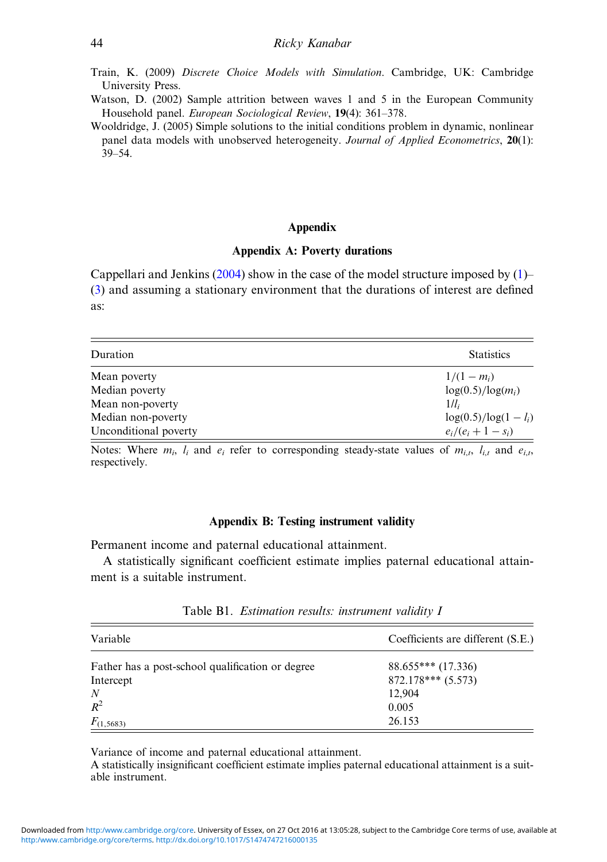- <span id="page-43-0"></span>Train, K. (2009) Discrete Choice Models with Simulation. Cambridge, UK: Cambridge University Press.
- Watson, D. (2002) Sample attrition between waves 1 and 5 in the European Community Household panel. European Sociological Review, 19(4): 361–378.
- Wooldridge, J. (2005) Simple solutions to the initial conditions problem in dynamic, nonlinear panel data models with unobserved heterogeneity. Journal of Applied Econometrics, 20(1): 39–54.

# Appendix

### Appendix A: Poverty durations

Cappellari and Jenkins  $(2004)$  $(2004)$  show in the case of the model structure imposed by  $(1)$  $(1)$ – ([3\)](#page-7-0) and assuming a stationary environment that the durations of interest are defined as:

| Duration              | <b>Statistics</b>       |
|-----------------------|-------------------------|
| Mean poverty          | $1/(1 - m_i)$           |
| Median poverty        | $log(0.5)/log(m_i)$     |
| Mean non-poverty      | $1/l_i$                 |
| Median non-poverty    | $log(0.5)/log(1 - l_i)$ |
| Unconditional poverty | $e_i/(e_i+1-s_i)$       |

Notes: Where  $m_i$ ,  $l_i$  and  $e_i$  refer to corresponding steady-state values of  $m_{i,t}$ ,  $l_{i,t}$  and  $e_{i,t}$ , respectively.

#### Appendix B: Testing instrument validity

Permanent income and paternal educational attainment.

A statistically significant coefficient estimate implies paternal educational attainment is a suitable instrument.

| Variable                                         | Coefficients are different (S.E.) |
|--------------------------------------------------|-----------------------------------|
| Father has a post-school qualification or degree | $88.655***$ (17.336)              |
| Intercept                                        | $872.178***$ (5.573)              |
| N                                                | 12,904                            |
| $R^2$                                            | 0.005                             |
| $F_{(1,5683)}$                                   | 26.153                            |

Table B1. Estimation results: instrument validity I

Variance of income and paternal educational attainment.

A statistically insignificant coefficient estimate implies paternal educational attainment is a suitable instrument.